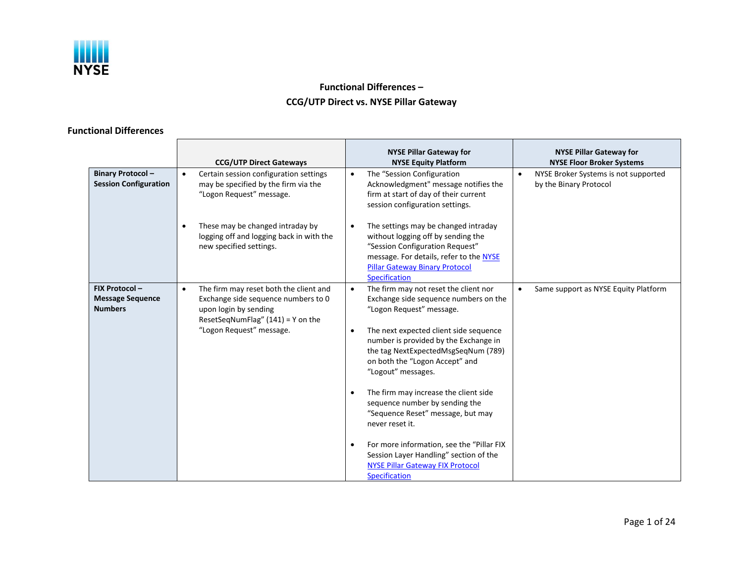

# **Functional Differences – CCG/UTP Direct vs. NYSE Pillar Gateway**

## **Functional Differences**

| <b>Binary Protocol-</b><br><b>Session Configuration</b>    | <b>CCG/UTP Direct Gateways</b><br>Certain session configuration settings<br>$\bullet$<br>may be specified by the firm via the<br>"Logon Request" message.                              | <b>NYSE Pillar Gateway for</b><br><b>NYSE Equity Platform</b><br>The "Session Configuration<br>$\bullet$<br>Acknowledgment" message notifies the<br>firm at start of day of their current                                                                                                                                                                                                                                                                                                                                                                                  | <b>NYSE Pillar Gateway for</b><br><b>NYSE Floor Broker Systems</b><br>NYSE Broker Systems is not supported<br>$\bullet$<br>by the Binary Protocol |
|------------------------------------------------------------|----------------------------------------------------------------------------------------------------------------------------------------------------------------------------------------|----------------------------------------------------------------------------------------------------------------------------------------------------------------------------------------------------------------------------------------------------------------------------------------------------------------------------------------------------------------------------------------------------------------------------------------------------------------------------------------------------------------------------------------------------------------------------|---------------------------------------------------------------------------------------------------------------------------------------------------|
|                                                            | These may be changed intraday by<br>logging off and logging back in with the<br>new specified settings.                                                                                | session configuration settings.<br>The settings may be changed intraday<br>without logging off by sending the<br>"Session Configuration Request"<br>message. For details, refer to the NYSE<br><b>Pillar Gateway Binary Protocol</b><br><b>Specification</b>                                                                                                                                                                                                                                                                                                               |                                                                                                                                                   |
| FIX Protocol-<br><b>Message Sequence</b><br><b>Numbers</b> | The firm may reset both the client and<br>$\bullet$<br>Exchange side sequence numbers to 0<br>upon login by sending<br>ResetSeqNumFlag" $(141) = Y$ on the<br>"Logon Request" message. | The firm may not reset the client nor<br>$\bullet$<br>Exchange side sequence numbers on the<br>"Logon Request" message.<br>The next expected client side sequence<br>$\bullet$<br>number is provided by the Exchange in<br>the tag NextExpectedMsgSeqNum (789)<br>on both the "Logon Accept" and<br>"Logout" messages.<br>The firm may increase the client side<br>$\bullet$<br>sequence number by sending the<br>"Sequence Reset" message, but may<br>never reset it.<br>For more information, see the "Pillar FIX<br>$\bullet$<br>Session Layer Handling" section of the | Same support as NYSE Equity Platform                                                                                                              |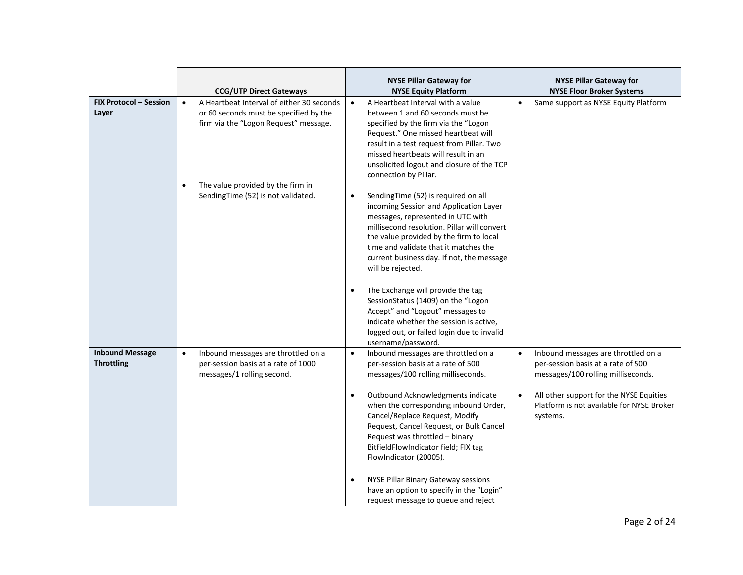|                                             | <b>CCG/UTP Direct Gateways</b>                                                                                                            | <b>NYSE Pillar Gateway for</b><br><b>NYSE Equity Platform</b>                                                                                                                                                                                                                                                                                                                                                                | <b>NYSE Pillar Gateway for</b><br><b>NYSE Floor Broker Systems</b>                                                           |
|---------------------------------------------|-------------------------------------------------------------------------------------------------------------------------------------------|------------------------------------------------------------------------------------------------------------------------------------------------------------------------------------------------------------------------------------------------------------------------------------------------------------------------------------------------------------------------------------------------------------------------------|------------------------------------------------------------------------------------------------------------------------------|
| <b>FIX Protocol - Session</b><br>Layer      | A Heartbeat Interval of either 30 seconds<br>$\bullet$<br>or 60 seconds must be specified by the<br>firm via the "Logon Request" message. | A Heartbeat Interval with a value<br>$\bullet$<br>between 1 and 60 seconds must be<br>specified by the firm via the "Logon<br>Request." One missed heartbeat will<br>result in a test request from Pillar. Two<br>missed heartbeats will result in an<br>unsolicited logout and closure of the TCP<br>connection by Pillar.                                                                                                  | Same support as NYSE Equity Platform<br>$\bullet$                                                                            |
|                                             | The value provided by the firm in<br>٠<br>SendingTime (52) is not validated.                                                              | SendingTime (52) is required on all<br>$\bullet$<br>incoming Session and Application Layer<br>messages, represented in UTC with<br>millisecond resolution. Pillar will convert<br>the value provided by the firm to local<br>time and validate that it matches the<br>current business day. If not, the message<br>will be rejected.<br>The Exchange will provide the tag<br>$\bullet$<br>SessionStatus (1409) on the "Logon |                                                                                                                              |
|                                             |                                                                                                                                           | Accept" and "Logout" messages to<br>indicate whether the session is active,<br>logged out, or failed login due to invalid<br>username/password.                                                                                                                                                                                                                                                                              |                                                                                                                              |
| <b>Inbound Message</b><br><b>Throttling</b> | Inbound messages are throttled on a<br>$\bullet$<br>per-session basis at a rate of 1000<br>messages/1 rolling second.                     | Inbound messages are throttled on a<br>$\bullet$<br>per-session basis at a rate of 500<br>messages/100 rolling milliseconds.                                                                                                                                                                                                                                                                                                 | Inbound messages are throttled on a<br>$\bullet$<br>per-session basis at a rate of 500<br>messages/100 rolling milliseconds. |
|                                             |                                                                                                                                           | Outbound Acknowledgments indicate<br>$\bullet$<br>when the corresponding inbound Order,<br>Cancel/Replace Request, Modify<br>Request, Cancel Request, or Bulk Cancel<br>Request was throttled - binary<br>BitfieldFlowIndicator field; FIX tag<br>FlowIndicator (20005).                                                                                                                                                     | All other support for the NYSE Equities<br>$\bullet$<br>Platform is not available for NYSE Broker<br>systems.                |
|                                             |                                                                                                                                           | NYSE Pillar Binary Gateway sessions<br>$\bullet$<br>have an option to specify in the "Login"<br>request message to queue and reject                                                                                                                                                                                                                                                                                          |                                                                                                                              |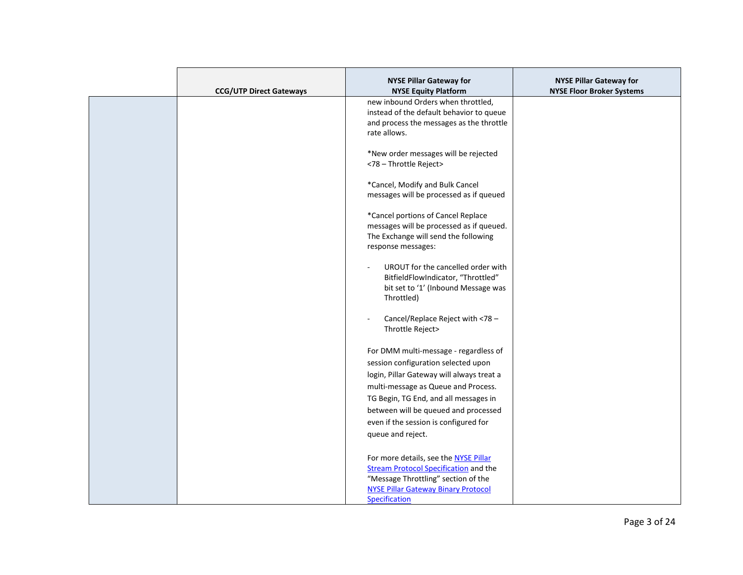|                                | <b>NYSE Pillar Gateway for</b>                                           | <b>NYSE Pillar Gateway for</b>   |
|--------------------------------|--------------------------------------------------------------------------|----------------------------------|
| <b>CCG/UTP Direct Gateways</b> | <b>NYSE Equity Platform</b>                                              | <b>NYSE Floor Broker Systems</b> |
|                                | new inbound Orders when throttled,                                       |                                  |
|                                | instead of the default behavior to queue                                 |                                  |
|                                | and process the messages as the throttle                                 |                                  |
|                                | rate allows.                                                             |                                  |
|                                |                                                                          |                                  |
|                                | *New order messages will be rejected                                     |                                  |
|                                | <78 - Throttle Reject>                                                   |                                  |
|                                | *Cancel, Modify and Bulk Cancel                                          |                                  |
|                                | messages will be processed as if queued                                  |                                  |
|                                |                                                                          |                                  |
|                                | *Cancel portions of Cancel Replace                                       |                                  |
|                                | messages will be processed as if queued.                                 |                                  |
|                                | The Exchange will send the following                                     |                                  |
|                                | response messages:                                                       |                                  |
|                                |                                                                          |                                  |
|                                | UROUT for the cancelled order with<br>BitfieldFlowIndicator, "Throttled" |                                  |
|                                | bit set to '1' (Inbound Message was                                      |                                  |
|                                | Throttled)                                                               |                                  |
|                                |                                                                          |                                  |
|                                | Cancel/Replace Reject with <78 -                                         |                                  |
|                                | Throttle Reject>                                                         |                                  |
|                                |                                                                          |                                  |
|                                | For DMM multi-message - regardless of                                    |                                  |
|                                | session configuration selected upon                                      |                                  |
|                                | login, Pillar Gateway will always treat a                                |                                  |
|                                | multi-message as Queue and Process.                                      |                                  |
|                                | TG Begin, TG End, and all messages in                                    |                                  |
|                                | between will be queued and processed                                     |                                  |
|                                | even if the session is configured for                                    |                                  |
|                                | queue and reject.                                                        |                                  |
|                                |                                                                          |                                  |
|                                | For more details, see the NYSE Pillar                                    |                                  |
|                                | <b>Stream Protocol Specification and the</b>                             |                                  |
|                                | "Message Throttling" section of the                                      |                                  |
|                                | <b>NYSE Pillar Gateway Binary Protocol</b>                               |                                  |
|                                | Specification                                                            |                                  |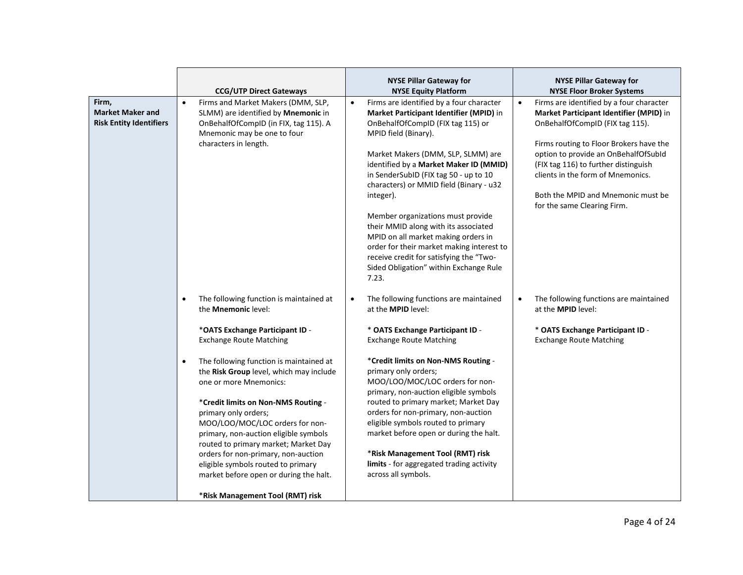|                                                                    | <b>CCG/UTP Direct Gateways</b>                                                                                                                                                                                                                                                                                                                                                                                                                                                                                                                                                                           | <b>NYSE Pillar Gateway for</b><br><b>NYSE Equity Platform</b>                                                                                                                                                                                                                                                                                                                                                                                                                                                                                                                                    | <b>NYSE Pillar Gateway for</b><br><b>NYSE Floor Broker Systems</b>                                                                                                                                                                                                                                                                                                       |
|--------------------------------------------------------------------|----------------------------------------------------------------------------------------------------------------------------------------------------------------------------------------------------------------------------------------------------------------------------------------------------------------------------------------------------------------------------------------------------------------------------------------------------------------------------------------------------------------------------------------------------------------------------------------------------------|--------------------------------------------------------------------------------------------------------------------------------------------------------------------------------------------------------------------------------------------------------------------------------------------------------------------------------------------------------------------------------------------------------------------------------------------------------------------------------------------------------------------------------------------------------------------------------------------------|--------------------------------------------------------------------------------------------------------------------------------------------------------------------------------------------------------------------------------------------------------------------------------------------------------------------------------------------------------------------------|
| Firm,<br><b>Market Maker and</b><br><b>Risk Entity Identifiers</b> | Firms and Market Makers (DMM, SLP,<br>$\bullet$<br>SLMM) are identified by Mnemonic in<br>OnBehalfOfCompID (in FIX, tag 115). A<br>Mnemonic may be one to four<br>characters in length.                                                                                                                                                                                                                                                                                                                                                                                                                  | Firms are identified by a four character<br>Market Participant Identifier (MPID) in<br>OnBehalfOfCompID (FIX tag 115) or<br>MPID field (Binary).<br>Market Makers (DMM, SLP, SLMM) are<br>identified by a Market Maker ID (MMID)<br>in SenderSubID (FIX tag 50 - up to 10<br>characters) or MMID field (Binary - u32<br>integer).<br>Member organizations must provide<br>their MMID along with its associated<br>MPID on all market making orders in<br>order for their market making interest to<br>receive credit for satisfying the "Two-<br>Sided Obligation" within Exchange Rule<br>7.23. | Firms are identified by a four character<br>$\bullet$<br>Market Participant Identifier (MPID) in<br>OnBehalfOfCompID (FIX tag 115).<br>Firms routing to Floor Brokers have the<br>option to provide an OnBehalfOfSubId<br>(FIX tag 116) to further distinguish<br>clients in the form of Mnemonics.<br>Both the MPID and Mnemonic must be<br>for the same Clearing Firm. |
|                                                                    | The following function is maintained at<br>the <b>Mnemonic</b> level:<br>*OATS Exchange Participant ID -<br><b>Exchange Route Matching</b><br>The following function is maintained at<br>the Risk Group level, which may include<br>one or more Mnemonics:<br>*Credit limits on Non-NMS Routing -<br>primary only orders;<br>MOO/LOO/MOC/LOC orders for non-<br>primary, non-auction eligible symbols<br>routed to primary market; Market Day<br>orders for non-primary, non-auction<br>eligible symbols routed to primary<br>market before open or during the halt.<br>*Risk Management Tool (RMT) risk | The following functions are maintained<br>$\bullet$<br>at the <b>MPID</b> level:<br>* OATS Exchange Participant ID -<br><b>Exchange Route Matching</b><br>*Credit limits on Non-NMS Routing -<br>primary only orders;<br>MOO/LOO/MOC/LOC orders for non-<br>primary, non-auction eligible symbols<br>routed to primary market; Market Day<br>orders for non-primary, non-auction<br>eligible symbols routed to primary<br>market before open or during the halt.<br>*Risk Management Tool (RMT) risk<br>limits - for aggregated trading activity<br>across all symbols.                          | The following functions are maintained<br>$\bullet$<br>at the <b>MPID</b> level:<br>* OATS Exchange Participant ID -<br><b>Exchange Route Matching</b>                                                                                                                                                                                                                   |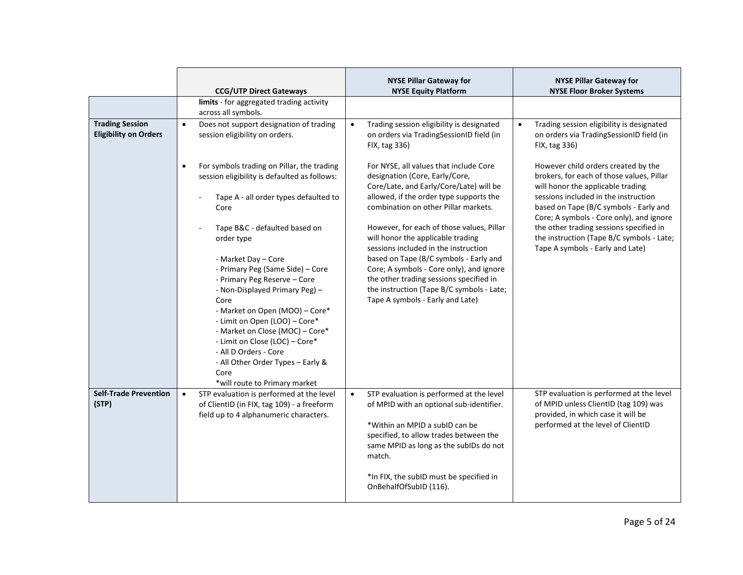|                                                        | <b>CCG/UTP Direct Gateways</b>                                                                                                                                                                                                                                                                                                                                                                                                  | <b>NYSE Pillar Gateway for</b><br><b>NYSE Equity Platform</b>                                                                                                                                                                                                                                                                            | <b>NYSE Pillar Gateway for</b><br><b>NYSE Floor Broker Systems</b>                                                                                                                                                                                  |
|--------------------------------------------------------|---------------------------------------------------------------------------------------------------------------------------------------------------------------------------------------------------------------------------------------------------------------------------------------------------------------------------------------------------------------------------------------------------------------------------------|------------------------------------------------------------------------------------------------------------------------------------------------------------------------------------------------------------------------------------------------------------------------------------------------------------------------------------------|-----------------------------------------------------------------------------------------------------------------------------------------------------------------------------------------------------------------------------------------------------|
|                                                        | limits - for aggregated trading activity<br>across all symbols.                                                                                                                                                                                                                                                                                                                                                                 |                                                                                                                                                                                                                                                                                                                                          |                                                                                                                                                                                                                                                     |
| <b>Trading Session</b><br><b>Eligibility on Orders</b> | Does not support designation of trading<br>$\bullet$<br>session eligibility on orders.                                                                                                                                                                                                                                                                                                                                          | Trading session eligibility is designated<br>$\bullet$<br>on orders via TradingSessionID field (in<br>FIX, tag 336)                                                                                                                                                                                                                      | Trading session eligibility is designated<br>$\bullet$<br>on orders via TradingSessionID field (in<br>FIX, tag 336)                                                                                                                                 |
|                                                        | For symbols trading on Pillar, the trading<br>session eligibility is defaulted as follows:<br>Tape A - all order types defaulted to<br>Core                                                                                                                                                                                                                                                                                     | For NYSE, all values that include Core<br>designation (Core, Early/Core,<br>Core/Late, and Early/Core/Late) will be<br>allowed, if the order type supports the<br>combination on other Pillar markets.                                                                                                                                   | However child orders created by the<br>brokers, for each of those values, Pillar<br>will honor the applicable trading<br>sessions included in the instruction<br>based on Tape (B/C symbols - Early and<br>Core; A symbols - Core only), and ignore |
|                                                        | Tape B&C - defaulted based on<br>order type<br>- Market Day - Core<br>- Primary Peg (Same Side) - Core<br>- Primary Peg Reserve - Core<br>- Non-Displayed Primary Peg) -<br>Core<br>- Market on Open (MOO) - Core*<br>- Limit on Open (LOO) - Core*<br>- Market on Close (MOC) - Core*<br>- Limit on Close (LOC) - Core*<br>- All D Orders - Core<br>- All Other Order Types - Early &<br>Core<br>*will route to Primary market | However, for each of those values, Pillar<br>will honor the applicable trading<br>sessions included in the instruction<br>based on Tape (B/C symbols - Early and<br>Core; A symbols - Core only), and ignore<br>the other trading sessions specified in<br>the instruction (Tape B/C symbols - Late;<br>Tape A symbols - Early and Late) | the other trading sessions specified in<br>the instruction (Tape B/C symbols - Late;<br>Tape A symbols - Early and Late)                                                                                                                            |
| <b>Self-Trade Prevention</b><br>(STP)                  | STP evaluation is performed at the level<br>$\bullet$<br>of ClientID (in FIX, tag 109) - a freeform<br>field up to 4 alphanumeric characters.                                                                                                                                                                                                                                                                                   | STP evaluation is performed at the level<br>$\bullet$<br>of MPID with an optional sub-identifier.<br>*Within an MPID a subID can be<br>specified, to allow trades between the<br>same MPID as long as the subIDs do not<br>match.<br>*In FIX, the subID must be specified in<br>OnBehalfOfSubID (116).                                   | STP evaluation is performed at the level<br>of MPID unless ClientID (tag 109) was<br>provided, in which case it will be<br>performed at the level of ClientID                                                                                       |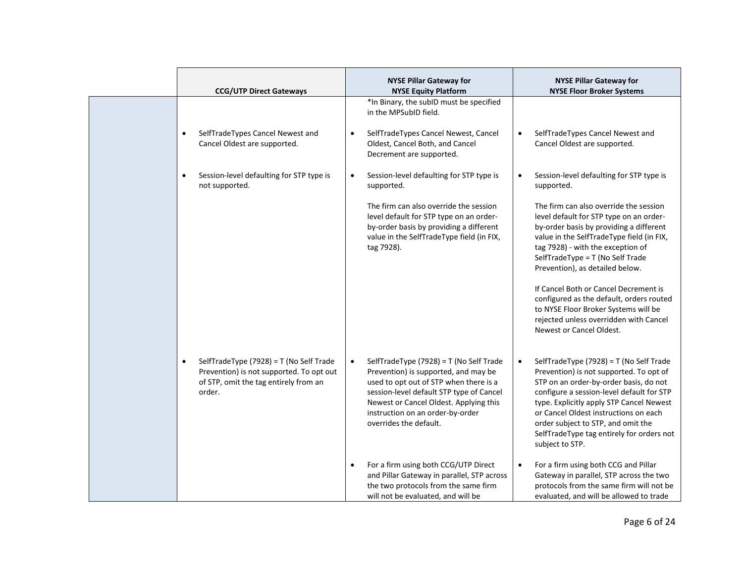| <b>CCG/UTP Direct Gateways</b>                                                                                                                      | <b>NYSE Pillar Gateway for</b><br><b>NYSE Equity Platform</b>                                                                                                                                                                                                                              | <b>NYSE Pillar Gateway for</b><br><b>NYSE Floor Broker Systems</b>                                                                                                                                                                                                                                                                                                                |
|-----------------------------------------------------------------------------------------------------------------------------------------------------|--------------------------------------------------------------------------------------------------------------------------------------------------------------------------------------------------------------------------------------------------------------------------------------------|-----------------------------------------------------------------------------------------------------------------------------------------------------------------------------------------------------------------------------------------------------------------------------------------------------------------------------------------------------------------------------------|
|                                                                                                                                                     | *In Binary, the subID must be specified<br>in the MPSubID field.                                                                                                                                                                                                                           |                                                                                                                                                                                                                                                                                                                                                                                   |
| SelfTradeTypes Cancel Newest and<br>Cancel Oldest are supported.                                                                                    | SelfTradeTypes Cancel Newest, Cancel<br>$\bullet$<br>Oldest, Cancel Both, and Cancel<br>Decrement are supported.                                                                                                                                                                           | SelfTradeTypes Cancel Newest and<br>$\bullet$<br>Cancel Oldest are supported.                                                                                                                                                                                                                                                                                                     |
| Session-level defaulting for STP type is<br>not supported.                                                                                          | Session-level defaulting for STP type is<br>$\bullet$<br>supported.                                                                                                                                                                                                                        | Session-level defaulting for STP type is<br>$\bullet$<br>supported.                                                                                                                                                                                                                                                                                                               |
|                                                                                                                                                     | The firm can also override the session<br>level default for STP type on an order-<br>by-order basis by providing a different<br>value in the SelfTradeType field (in FIX,<br>tag 7928).                                                                                                    | The firm can also override the session<br>level default for STP type on an order-<br>by-order basis by providing a different<br>value in the SelfTradeType field (in FIX,<br>tag 7928) - with the exception of<br>SelfTradeType = T (No Self Trade<br>Prevention), as detailed below.                                                                                             |
|                                                                                                                                                     |                                                                                                                                                                                                                                                                                            | If Cancel Both or Cancel Decrement is<br>configured as the default, orders routed<br>to NYSE Floor Broker Systems will be<br>rejected unless overridden with Cancel<br>Newest or Cancel Oldest.                                                                                                                                                                                   |
| SelfTradeType (7928) = T (No Self Trade<br>$\bullet$<br>Prevention) is not supported. To opt out<br>of STP, omit the tag entirely from an<br>order. | SelfTradeType (7928) = T (No Self Trade<br>$\bullet$<br>Prevention) is supported, and may be<br>used to opt out of STP when there is a<br>session-level default STP type of Cancel<br>Newest or Cancel Oldest. Applying this<br>instruction on an order-by-order<br>overrides the default. | SelfTradeType (7928) = T (No Self Trade<br>$\bullet$<br>Prevention) is not supported. To opt of<br>STP on an order-by-order basis, do not<br>configure a session-level default for STP<br>type. Explicitly apply STP Cancel Newest<br>or Cancel Oldest instructions on each<br>order subject to STP, and omit the<br>SelfTradeType tag entirely for orders not<br>subject to STP. |
|                                                                                                                                                     | For a firm using both CCG/UTP Direct<br>$\bullet$<br>and Pillar Gateway in parallel, STP across<br>the two protocols from the same firm<br>will not be evaluated, and will be                                                                                                              | For a firm using both CCG and Pillar<br>$\bullet$<br>Gateway in parallel, STP across the two<br>protocols from the same firm will not be<br>evaluated, and will be allowed to trade                                                                                                                                                                                               |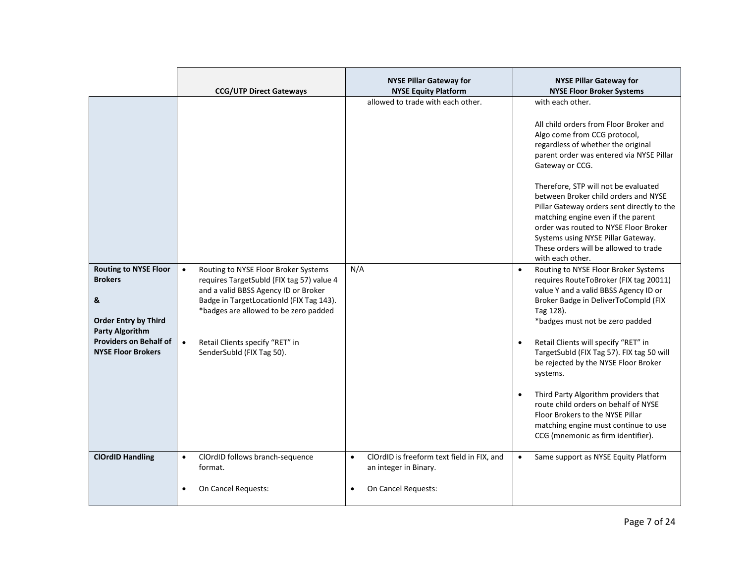|                                                                                                                                                                            | <b>CCG/UTP Direct Gateways</b>                                                                                                                                                                                                                                                                           | <b>NYSE Pillar Gateway for</b><br><b>NYSE Equity Platform</b>                                                        | <b>NYSE Pillar Gateway for</b><br><b>NYSE Floor Broker Systems</b>                                                                                                                                                                                                                                                                                                                                                                                                                                                                                                                                |
|----------------------------------------------------------------------------------------------------------------------------------------------------------------------------|----------------------------------------------------------------------------------------------------------------------------------------------------------------------------------------------------------------------------------------------------------------------------------------------------------|----------------------------------------------------------------------------------------------------------------------|---------------------------------------------------------------------------------------------------------------------------------------------------------------------------------------------------------------------------------------------------------------------------------------------------------------------------------------------------------------------------------------------------------------------------------------------------------------------------------------------------------------------------------------------------------------------------------------------------|
|                                                                                                                                                                            |                                                                                                                                                                                                                                                                                                          | allowed to trade with each other.                                                                                    | with each other.<br>All child orders from Floor Broker and<br>Algo come from CCG protocol,<br>regardless of whether the original<br>parent order was entered via NYSE Pillar<br>Gateway or CCG.<br>Therefore, STP will not be evaluated<br>between Broker child orders and NYSE<br>Pillar Gateway orders sent directly to the<br>matching engine even if the parent<br>order was routed to NYSE Floor Broker<br>Systems using NYSE Pillar Gateway.<br>These orders will be allowed to trade<br>with each other.                                                                                   |
| <b>Routing to NYSE Floor</b><br><b>Brokers</b><br>&<br><b>Order Entry by Third</b><br><b>Party Algorithm</b><br><b>Providers on Behalf of</b><br><b>NYSE Floor Brokers</b> | Routing to NYSE Floor Broker Systems<br>$\bullet$<br>requires TargetSubId (FIX tag 57) value 4<br>and a valid BBSS Agency ID or Broker<br>Badge in TargetLocationId (FIX Tag 143).<br>*badges are allowed to be zero padded<br>$\bullet$<br>Retail Clients specify "RET" in<br>SenderSubId (FIX Tag 50). | N/A                                                                                                                  | Routing to NYSE Floor Broker Systems<br>$\bullet$<br>requires RouteToBroker (FIX tag 20011)<br>value Y and a valid BBSS Agency ID or<br>Broker Badge in DeliverToCompId (FIX<br>Tag 128).<br>*badges must not be zero padded<br>Retail Clients will specify "RET" in<br>$\bullet$<br>TargetSubId (FIX Tag 57). FIX tag 50 will<br>be rejected by the NYSE Floor Broker<br>systems.<br>Third Party Algorithm providers that<br>$\bullet$<br>route child orders on behalf of NYSE<br>Floor Brokers to the NYSE Pillar<br>matching engine must continue to use<br>CCG (mnemonic as firm identifier). |
| <b>ClOrdID Handling</b>                                                                                                                                                    | ClOrdID follows branch-sequence<br>$\bullet$<br>format.<br>On Cancel Requests:                                                                                                                                                                                                                           | ClOrdID is freeform text field in FIX, and<br>$\bullet$<br>an integer in Binary.<br>On Cancel Requests:<br>$\bullet$ | Same support as NYSE Equity Platform<br>$\bullet$                                                                                                                                                                                                                                                                                                                                                                                                                                                                                                                                                 |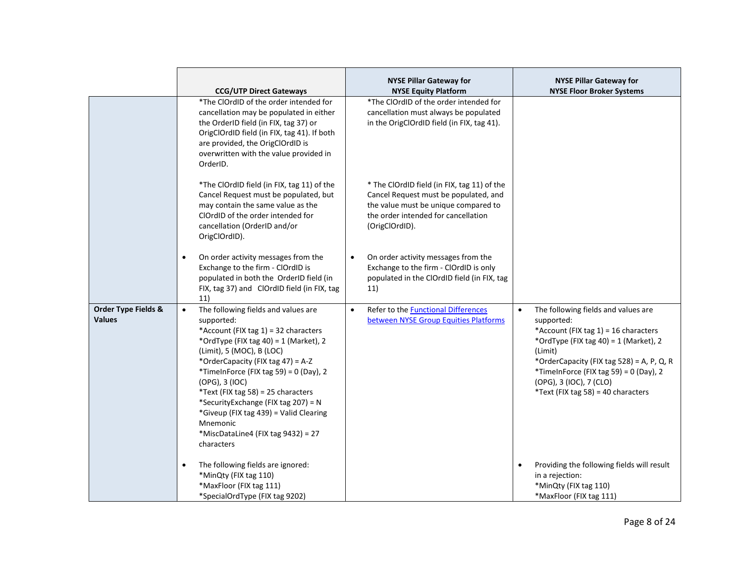|                                                 |                                                                                                                                                                                                                                                                                                                                                                                                                                                                        | <b>NYSE Pillar Gateway for</b>                                                                                                                                                        | <b>NYSE Pillar Gateway for</b>                                                                                                                                                                                                                                                                                        |
|-------------------------------------------------|------------------------------------------------------------------------------------------------------------------------------------------------------------------------------------------------------------------------------------------------------------------------------------------------------------------------------------------------------------------------------------------------------------------------------------------------------------------------|---------------------------------------------------------------------------------------------------------------------------------------------------------------------------------------|-----------------------------------------------------------------------------------------------------------------------------------------------------------------------------------------------------------------------------------------------------------------------------------------------------------------------|
|                                                 | <b>CCG/UTP Direct Gateways</b>                                                                                                                                                                                                                                                                                                                                                                                                                                         | <b>NYSE Equity Platform</b>                                                                                                                                                           | <b>NYSE Floor Broker Systems</b>                                                                                                                                                                                                                                                                                      |
|                                                 | *The ClOrdID of the order intended for<br>cancellation may be populated in either<br>the OrderID field (in FIX, tag 37) or<br>OrigClOrdID field (in FIX, tag 41). If both<br>are provided, the OrigClOrdID is<br>overwritten with the value provided in<br>OrderID.                                                                                                                                                                                                    | *The ClOrdID of the order intended for<br>cancellation must always be populated<br>in the OrigClOrdID field (in FIX, tag 41).                                                         |                                                                                                                                                                                                                                                                                                                       |
|                                                 | *The ClOrdID field (in FIX, tag 11) of the<br>Cancel Request must be populated, but<br>may contain the same value as the<br>ClOrdID of the order intended for<br>cancellation (OrderID and/or<br>OrigClOrdID).                                                                                                                                                                                                                                                         | * The ClOrdID field (in FIX, tag 11) of the<br>Cancel Request must be populated, and<br>the value must be unique compared to<br>the order intended for cancellation<br>(OrigClOrdID). |                                                                                                                                                                                                                                                                                                                       |
|                                                 | On order activity messages from the<br>$\bullet$<br>Exchange to the firm - ClOrdID is<br>populated in both the OrderID field (in<br>FIX, tag 37) and ClOrdID field (in FIX, tag<br>11)                                                                                                                                                                                                                                                                                 | On order activity messages from the<br>$\bullet$<br>Exchange to the firm - ClOrdID is only<br>populated in the ClOrdID field (in FIX, tag<br>11)                                      |                                                                                                                                                                                                                                                                                                                       |
| <b>Order Type Fields &amp;</b><br><b>Values</b> | The following fields and values are<br>$\bullet$<br>supported:<br>*Account (FIX tag 1) = 32 characters<br>*OrdType (FIX tag 40) = 1 (Market), 2<br>(Limit), 5 (MOC), B (LOC)<br>*OrderCapacity (FIX tag 47) = A-Z<br>*TimeInForce (FIX tag 59) = $0$ (Day), 2<br>(OPG), 3 (IOC)<br>*Text (FIX tag 58) = 25 characters<br>*SecurityExchange (FIX tag 207) = N<br>*Giveup (FIX tag 439) = Valid Clearing<br>Mnemonic<br>*MiscDataLine4 (FIX tag 9432) = 27<br>characters | Refer to the <b>Functional Differences</b><br>$\bullet$<br>between NYSE Group Equities Platforms                                                                                      | The following fields and values are<br>$\bullet$<br>supported:<br>*Account (FIX tag $1$ ) = 16 characters<br>*OrdType (FIX tag 40) = 1 (Market), 2<br>(Limit)<br>*OrderCapacity (FIX tag 528) = A, P, Q, R<br>*TimeInForce (FIX tag 59) = 0 (Day), 2<br>(OPG), 3 (IOC), 7 (CLO)<br>*Text (FIX tag 58) = 40 characters |
|                                                 | The following fields are ignored:<br>$\bullet$<br>*MinQty (FIX tag 110)<br>*MaxFloor (FIX tag 111)<br>*SpecialOrdType (FIX tag 9202)                                                                                                                                                                                                                                                                                                                                   |                                                                                                                                                                                       | Providing the following fields will result<br>$\bullet$<br>in a rejection:<br>*MinQty (FIX tag 110)<br>*MaxFloor (FIX tag 111)                                                                                                                                                                                        |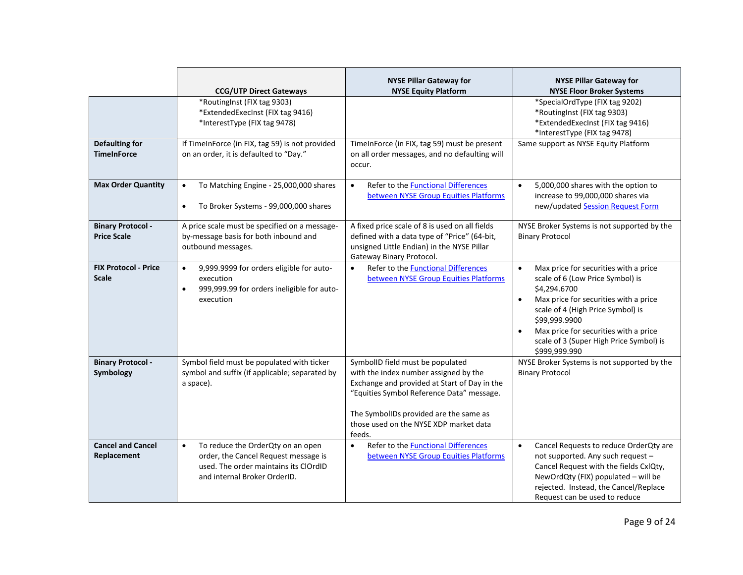|                                                | <b>CCG/UTP Direct Gateways</b>                                                                                                                                                               | <b>NYSE Pillar Gateway for</b><br><b>NYSE Equity Platform</b>                                                                                                                                                                                                        | <b>NYSE Pillar Gateway for</b><br><b>NYSE Floor Broker Systems</b>                                                                                                                                                                                                                                                                   |
|------------------------------------------------|----------------------------------------------------------------------------------------------------------------------------------------------------------------------------------------------|----------------------------------------------------------------------------------------------------------------------------------------------------------------------------------------------------------------------------------------------------------------------|--------------------------------------------------------------------------------------------------------------------------------------------------------------------------------------------------------------------------------------------------------------------------------------------------------------------------------------|
| <b>Defaulting for</b><br><b>TimeInForce</b>    | *RoutingInst (FIX tag 9303)<br>*ExtendedExecInst (FIX tag 9416)<br>*InterestType (FIX tag 9478)<br>If TimeInForce (in FIX, tag 59) is not provided<br>on an order, it is defaulted to "Day." | TimeInForce (in FIX, tag 59) must be present<br>on all order messages, and no defaulting will                                                                                                                                                                        | *SpecialOrdType (FIX tag 9202)<br>*RoutingInst (FIX tag 9303)<br>*ExtendedExecInst (FIX tag 9416)<br>*InterestType (FIX tag 9478)<br>Same support as NYSE Equity Platform                                                                                                                                                            |
| <b>Max Order Quantity</b>                      | To Matching Engine - 25,000,000 shares<br>$\bullet$<br>To Broker Systems - 99,000,000 shares<br>$\bullet$                                                                                    | occur.<br>Refer to the Functional Differences<br>$\bullet$<br>between NYSE Group Equities Platforms                                                                                                                                                                  | 5,000,000 shares with the option to<br>$\bullet$<br>increase to 99,000,000 shares via<br>new/updated Session Request Form                                                                                                                                                                                                            |
| <b>Binary Protocol -</b><br><b>Price Scale</b> | A price scale must be specified on a message-<br>by-message basis for both inbound and<br>outbound messages.                                                                                 | A fixed price scale of 8 is used on all fields<br>defined with a data type of "Price" (64-bit,<br>unsigned Little Endian) in the NYSE Pillar<br>Gateway Binary Protocol.                                                                                             | NYSE Broker Systems is not supported by the<br><b>Binary Protocol</b>                                                                                                                                                                                                                                                                |
| <b>FIX Protocol - Price</b><br><b>Scale</b>    | 9,999.9999 for orders eligible for auto-<br>$\bullet$<br>execution<br>999,999.99 for orders ineligible for auto-<br>$\bullet$<br>execution                                                   | Refer to the Functional Differences<br>$\bullet$<br>between NYSE Group Equities Platforms                                                                                                                                                                            | Max price for securities with a price<br>$\bullet$<br>scale of 6 (Low Price Symbol) is<br>\$4,294.6700<br>Max price for securities with a price<br>$\bullet$<br>scale of 4 (High Price Symbol) is<br>\$99,999.9900<br>Max price for securities with a price<br>$\bullet$<br>scale of 3 (Super High Price Symbol) is<br>\$999,999.990 |
| <b>Binary Protocol -</b><br>Symbology          | Symbol field must be populated with ticker<br>symbol and suffix (if applicable; separated by<br>a space).                                                                                    | SymbolID field must be populated<br>with the index number assigned by the<br>Exchange and provided at Start of Day in the<br>"Equities Symbol Reference Data" message.<br>The SymbolIDs provided are the same as<br>those used on the NYSE XDP market data<br>feeds. | NYSE Broker Systems is not supported by the<br><b>Binary Protocol</b>                                                                                                                                                                                                                                                                |
| <b>Cancel and Cancel</b><br>Replacement        | To reduce the OrderQty on an open<br>$\bullet$<br>order, the Cancel Request message is<br>used. The order maintains its ClOrdID<br>and internal Broker OrderID.                              | Refer to the Functional Differences<br>$\bullet$<br>between NYSE Group Equities Platforms                                                                                                                                                                            | Cancel Requests to reduce OrderQty are<br>$\bullet$<br>not supported. Any such request -<br>Cancel Request with the fields CxlQty,<br>NewOrdQty (FIX) populated - will be<br>rejected. Instead, the Cancel/Replace<br>Request can be used to reduce                                                                                  |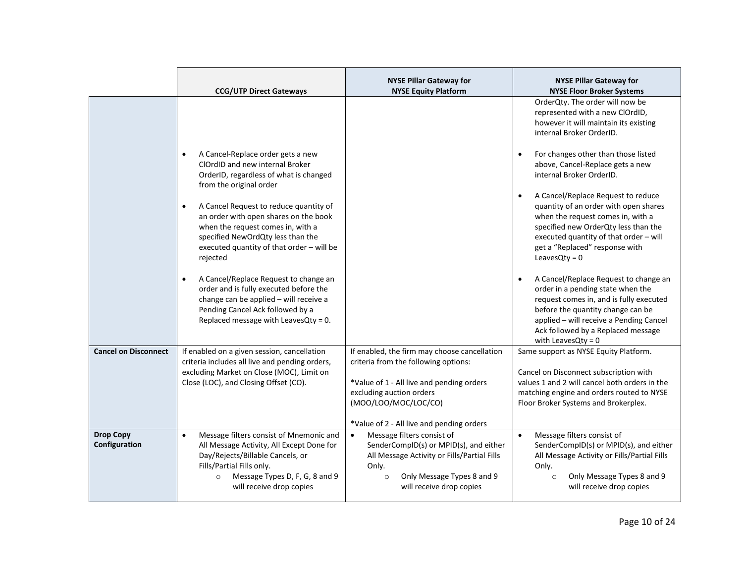|                                   | <b>CCG/UTP Direct Gateways</b>                                                                                                                                                                                                              | <b>NYSE Pillar Gateway for</b><br><b>NYSE Equity Platform</b>                                                                                                                                                                      | <b>NYSE Pillar Gateway for</b><br><b>NYSE Floor Broker Systems</b>                                                                                                                                                                                                               |
|-----------------------------------|---------------------------------------------------------------------------------------------------------------------------------------------------------------------------------------------------------------------------------------------|------------------------------------------------------------------------------------------------------------------------------------------------------------------------------------------------------------------------------------|----------------------------------------------------------------------------------------------------------------------------------------------------------------------------------------------------------------------------------------------------------------------------------|
|                                   |                                                                                                                                                                                                                                             |                                                                                                                                                                                                                                    | OrderQty. The order will now be<br>represented with a new ClOrdID,<br>however it will maintain its existing<br>internal Broker OrderID.                                                                                                                                          |
|                                   | A Cancel-Replace order gets a new<br>ClOrdID and new internal Broker<br>OrderID, regardless of what is changed<br>from the original order                                                                                                   |                                                                                                                                                                                                                                    | For changes other than those listed<br>$\bullet$<br>above, Cancel-Replace gets a new<br>internal Broker OrderID.                                                                                                                                                                 |
|                                   | A Cancel Request to reduce quantity of<br>$\bullet$<br>an order with open shares on the book<br>when the request comes in, with a<br>specified NewOrdQty less than the<br>executed quantity of that order - will be<br>rejected             |                                                                                                                                                                                                                                    | A Cancel/Replace Request to reduce<br>$\bullet$<br>quantity of an order with open shares<br>when the request comes in, with a<br>specified new OrderQty less than the<br>executed quantity of that order - will<br>get a "Replaced" response with<br>LeavesQty = $0$             |
|                                   | A Cancel/Replace Request to change an<br>$\bullet$<br>order and is fully executed before the<br>change can be applied - will receive a<br>Pending Cancel Ack followed by a<br>Replaced message with LeavesQty = 0.                          |                                                                                                                                                                                                                                    | A Cancel/Replace Request to change an<br>$\bullet$<br>order in a pending state when the<br>request comes in, and is fully executed<br>before the quantity change can be<br>applied - will receive a Pending Cancel<br>Ack followed by a Replaced message<br>with LeavesQty = $0$ |
| <b>Cancel on Disconnect</b>       | If enabled on a given session, cancellation<br>criteria includes all live and pending orders,<br>excluding Market on Close (MOC), Limit on<br>Close (LOC), and Closing Offset (CO).                                                         | If enabled, the firm may choose cancellation<br>criteria from the following options:<br>*Value of 1 - All live and pending orders<br>excluding auction orders<br>(MOO/LOO/MOC/LOC/CO)<br>*Value of 2 - All live and pending orders | Same support as NYSE Equity Platform.<br>Cancel on Disconnect subscription with<br>values 1 and 2 will cancel both orders in the<br>matching engine and orders routed to NYSE<br>Floor Broker Systems and Brokerplex.                                                            |
| <b>Drop Copy</b><br>Configuration | Message filters consist of Mnemonic and<br>$\bullet$<br>All Message Activity, All Except Done for<br>Day/Rejects/Billable Cancels, or<br>Fills/Partial Fills only.<br>Message Types D, F, G, 8 and 9<br>$\circ$<br>will receive drop copies | Message filters consist of<br>$\bullet$<br>SenderCompID(s) or MPID(s), and either<br>All Message Activity or Fills/Partial Fills<br>Only.<br>Only Message Types 8 and 9<br>$\circ$<br>will receive drop copies                     | Message filters consist of<br>$\bullet$<br>SenderCompID(s) or MPID(s), and either<br>All Message Activity or Fills/Partial Fills<br>Only.<br>Only Message Types 8 and 9<br>$\circ$<br>will receive drop copies                                                                   |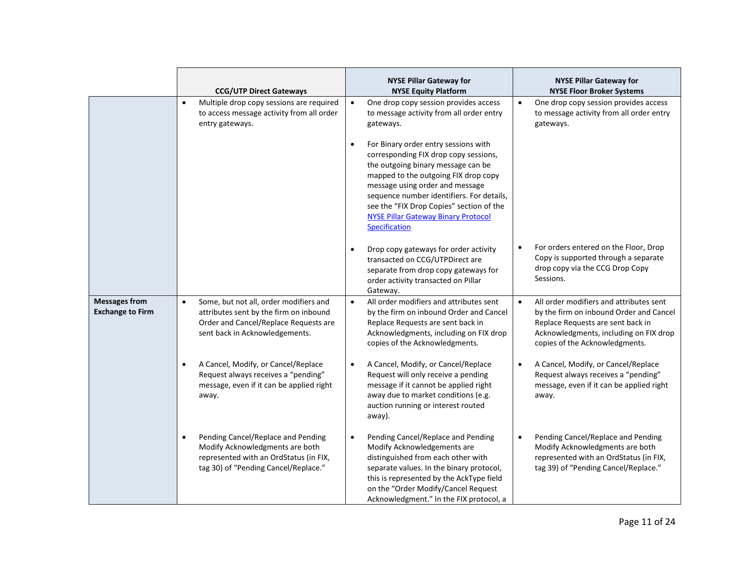|                                                 | <b>CCG/UTP Direct Gateways</b>                                                                                                                                           | <b>NYSE Pillar Gateway for</b><br><b>NYSE Equity Platform</b>                                                                                                                                                                                                                                                                                                       | <b>NYSE Pillar Gateway for</b><br><b>NYSE Floor Broker Systems</b>                                                                                                                                               |
|-------------------------------------------------|--------------------------------------------------------------------------------------------------------------------------------------------------------------------------|---------------------------------------------------------------------------------------------------------------------------------------------------------------------------------------------------------------------------------------------------------------------------------------------------------------------------------------------------------------------|------------------------------------------------------------------------------------------------------------------------------------------------------------------------------------------------------------------|
|                                                 | Multiple drop copy sessions are required<br>$\bullet$<br>to access message activity from all order<br>entry gateways.                                                    | One drop copy session provides access<br>$\bullet$<br>to message activity from all order entry<br>gateways.                                                                                                                                                                                                                                                         | One drop copy session provides access<br>$\bullet$<br>to message activity from all order entry<br>gateways.                                                                                                      |
|                                                 |                                                                                                                                                                          | For Binary order entry sessions with<br>$\bullet$<br>corresponding FIX drop copy sessions,<br>the outgoing binary message can be<br>mapped to the outgoing FIX drop copy<br>message using order and message<br>sequence number identifiers. For details,<br>see the "FIX Drop Copies" section of the<br><b>NYSE Pillar Gateway Binary Protocol</b><br>Specification |                                                                                                                                                                                                                  |
|                                                 |                                                                                                                                                                          | Drop copy gateways for order activity<br>$\bullet$<br>transacted on CCG/UTPDirect are<br>separate from drop copy gateways for<br>order activity transacted on Pillar<br>Gateway.                                                                                                                                                                                    | For orders entered on the Floor, Drop<br>$\bullet$<br>Copy is supported through a separate<br>drop copy via the CCG Drop Copy<br>Sessions.                                                                       |
| <b>Messages from</b><br><b>Exchange to Firm</b> | Some, but not all, order modifiers and<br>$\bullet$<br>attributes sent by the firm on inbound<br>Order and Cancel/Replace Requests are<br>sent back in Acknowledgements. | All order modifiers and attributes sent<br>$\bullet$<br>by the firm on inbound Order and Cancel<br>Replace Requests are sent back in<br>Acknowledgments, including on FIX drop<br>copies of the Acknowledgments.                                                                                                                                                    | All order modifiers and attributes sent<br>$\bullet$<br>by the firm on inbound Order and Cancel<br>Replace Requests are sent back in<br>Acknowledgments, including on FIX drop<br>copies of the Acknowledgments. |
|                                                 | A Cancel, Modify, or Cancel/Replace<br>Request always receives a "pending"<br>message, even if it can be applied right<br>away.                                          | A Cancel, Modify, or Cancel/Replace<br>$\bullet$<br>Request will only receive a pending<br>message if it cannot be applied right<br>away due to market conditions (e.g.<br>auction running or interest routed<br>away).                                                                                                                                             | A Cancel, Modify, or Cancel/Replace<br>$\bullet$<br>Request always receives a "pending"<br>message, even if it can be applied right<br>away.                                                                     |
|                                                 | Pending Cancel/Replace and Pending<br>Modify Acknowledgments are both<br>represented with an OrdStatus (in FIX,<br>tag 30) of "Pending Cancel/Replace."                  | Pending Cancel/Replace and Pending<br>$\bullet$<br>Modify Acknowledgements are<br>distinguished from each other with<br>separate values. In the binary protocol,<br>this is represented by the AckType field<br>on the "Order Modify/Cancel Request<br>Acknowledgment." In the FIX protocol, a                                                                      | Pending Cancel/Replace and Pending<br>$\bullet$<br>Modify Acknowledgments are both<br>represented with an OrdStatus (in FIX,<br>tag 39) of "Pending Cancel/Replace."                                             |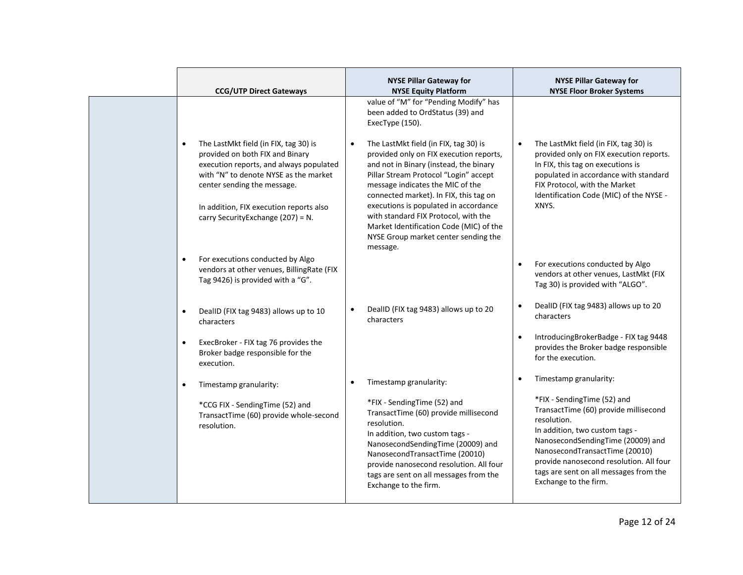| <b>CCG/UTP Direct Gateways</b>                                                                                                                                                                                                                                                            | <b>NYSE Pillar Gateway for</b><br><b>NYSE Equity Platform</b>                                                                                                                                                                                                                                                                                                                                                                     | <b>NYSE Pillar Gateway for</b><br><b>NYSE Floor Broker Systems</b>                                                                                                                                                                                                                                         |
|-------------------------------------------------------------------------------------------------------------------------------------------------------------------------------------------------------------------------------------------------------------------------------------------|-----------------------------------------------------------------------------------------------------------------------------------------------------------------------------------------------------------------------------------------------------------------------------------------------------------------------------------------------------------------------------------------------------------------------------------|------------------------------------------------------------------------------------------------------------------------------------------------------------------------------------------------------------------------------------------------------------------------------------------------------------|
|                                                                                                                                                                                                                                                                                           | value of "M" for "Pending Modify" has<br>been added to OrdStatus (39) and<br>ExecType (150).                                                                                                                                                                                                                                                                                                                                      |                                                                                                                                                                                                                                                                                                            |
| The LastMkt field (in FIX, tag 30) is<br>$\bullet$<br>provided on both FIX and Binary<br>execution reports, and always populated<br>with "N" to denote NYSE as the market<br>center sending the message.<br>In addition, FIX execution reports also<br>carry Security Exchange (207) = N. | The LastMkt field (in FIX, tag 30) is<br>provided only on FIX execution reports,<br>and not in Binary (instead, the binary<br>Pillar Stream Protocol "Login" accept<br>message indicates the MIC of the<br>connected market). In FIX, this tag on<br>executions is populated in accordance<br>with standard FIX Protocol, with the<br>Market Identification Code (MIC) of the<br>NYSE Group market center sending the<br>message. | The LastMkt field (in FIX, tag 30) is<br>$\bullet$<br>provided only on FIX execution reports.<br>In FIX, this tag on executions is<br>populated in accordance with standard<br>FIX Protocol, with the Market<br>Identification Code (MIC) of the NYSE -<br>XNYS.                                           |
| For executions conducted by Algo<br>$\bullet$<br>vendors at other venues, BillingRate (FIX<br>Tag 9426) is provided with a "G".                                                                                                                                                           |                                                                                                                                                                                                                                                                                                                                                                                                                                   | For executions conducted by Algo<br>$\bullet$<br>vendors at other venues, LastMkt (FIX<br>Tag 30) is provided with "ALGO".                                                                                                                                                                                 |
| DealID (FIX tag 9483) allows up to 10<br>characters                                                                                                                                                                                                                                       | DealID (FIX tag 9483) allows up to 20<br>$\bullet$<br>characters                                                                                                                                                                                                                                                                                                                                                                  | DealID (FIX tag 9483) allows up to 20<br>$\bullet$<br>characters                                                                                                                                                                                                                                           |
| ExecBroker - FIX tag 76 provides the<br>$\bullet$<br>Broker badge responsible for the<br>execution.                                                                                                                                                                                       |                                                                                                                                                                                                                                                                                                                                                                                                                                   | IntroducingBrokerBadge - FIX tag 9448<br>$\bullet$<br>provides the Broker badge responsible<br>for the execution.                                                                                                                                                                                          |
| Timestamp granularity:<br>$\bullet$                                                                                                                                                                                                                                                       | Timestamp granularity:                                                                                                                                                                                                                                                                                                                                                                                                            | Timestamp granularity:<br>$\bullet$                                                                                                                                                                                                                                                                        |
| *CCG FIX - SendingTime (52) and<br>TransactTime (60) provide whole-second<br>resolution.                                                                                                                                                                                                  | *FIX - SendingTime (52) and<br>TransactTime (60) provide millisecond<br>resolution.<br>In addition, two custom tags -<br>NanosecondSendingTime (20009) and<br>NanosecondTransactTime (20010)<br>provide nanosecond resolution. All four<br>tags are sent on all messages from the<br>Exchange to the firm.                                                                                                                        | *FIX - SendingTime (52) and<br>TransactTime (60) provide millisecond<br>resolution.<br>In addition, two custom tags -<br>NanosecondSendingTime (20009) and<br>NanosecondTransactTime (20010)<br>provide nanosecond resolution. All four<br>tags are sent on all messages from the<br>Exchange to the firm. |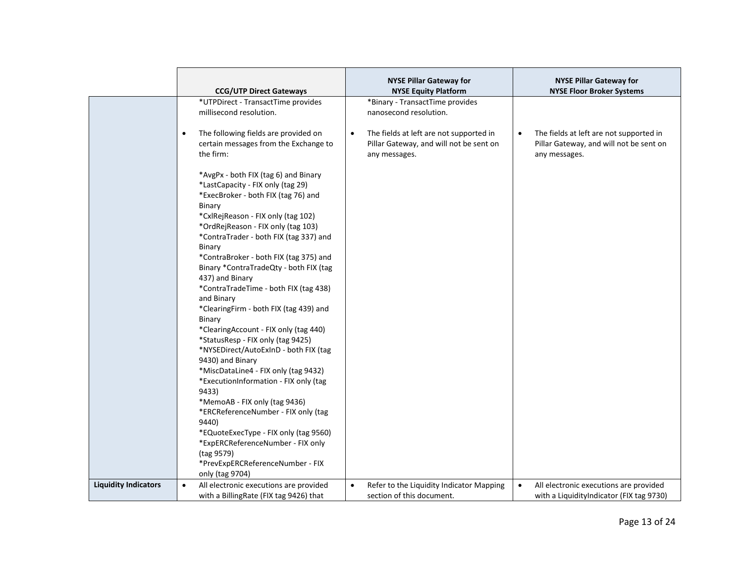|                             |                                                                            | <b>NYSE Pillar Gateway for</b><br><b>NYSE Equity Platform</b> | <b>NYSE Pillar Gateway for</b><br><b>NYSE Floor Broker Systems</b> |
|-----------------------------|----------------------------------------------------------------------------|---------------------------------------------------------------|--------------------------------------------------------------------|
|                             | <b>CCG/UTP Direct Gateways</b>                                             |                                                               |                                                                    |
|                             | *UTPDirect - TransactTime provides                                         | *Binary - TransactTime provides                               |                                                                    |
|                             | millisecond resolution.                                                    | nanosecond resolution.                                        |                                                                    |
|                             |                                                                            |                                                               |                                                                    |
|                             | The following fields are provided on<br>$\bullet$                          | The fields at left are not supported in<br>$\bullet$          | The fields at left are not supported in<br>$\bullet$               |
|                             | certain messages from the Exchange to                                      | Pillar Gateway, and will not be sent on                       | Pillar Gateway, and will not be sent on                            |
|                             | the firm:                                                                  | any messages.                                                 | any messages.                                                      |
|                             |                                                                            |                                                               |                                                                    |
|                             | *AvgPx - both FIX (tag 6) and Binary                                       |                                                               |                                                                    |
|                             | *LastCapacity - FIX only (tag 29)                                          |                                                               |                                                                    |
|                             | *ExecBroker - both FIX (tag 76) and                                        |                                                               |                                                                    |
|                             | Binary                                                                     |                                                               |                                                                    |
|                             | *CxlRejReason - FIX only (tag 102)                                         |                                                               |                                                                    |
|                             | *OrdRejReason - FIX only (tag 103)                                         |                                                               |                                                                    |
|                             | *ContraTrader - both FIX (tag 337) and                                     |                                                               |                                                                    |
|                             | Binary                                                                     |                                                               |                                                                    |
|                             | *ContraBroker - both FIX (tag 375) and                                     |                                                               |                                                                    |
|                             | Binary *ContraTradeQty - both FIX (tag                                     |                                                               |                                                                    |
|                             | 437) and Binary                                                            |                                                               |                                                                    |
|                             | *ContraTradeTime - both FIX (tag 438)                                      |                                                               |                                                                    |
|                             | and Binary                                                                 |                                                               |                                                                    |
|                             | *ClearingFirm - both FIX (tag 439) and                                     |                                                               |                                                                    |
|                             | Binary                                                                     |                                                               |                                                                    |
|                             | *ClearingAccount - FIX only (tag 440)                                      |                                                               |                                                                    |
|                             | *StatusResp - FIX only (tag 9425)                                          |                                                               |                                                                    |
|                             | *NYSEDirect/AutoExInD - both FIX (tag                                      |                                                               |                                                                    |
|                             | 9430) and Binary                                                           |                                                               |                                                                    |
|                             | *MiscDataLine4 - FIX only (tag 9432)                                       |                                                               |                                                                    |
|                             | *ExecutionInformation - FIX only (tag                                      |                                                               |                                                                    |
|                             | 9433)                                                                      |                                                               |                                                                    |
|                             | *MemoAB - FIX only (tag 9436)<br>*ERCReferenceNumber - FIX only (tag       |                                                               |                                                                    |
|                             | 9440)                                                                      |                                                               |                                                                    |
|                             |                                                                            |                                                               |                                                                    |
|                             | *EQuoteExecType - FIX only (tag 9560)<br>*ExpERCReferenceNumber - FIX only |                                                               |                                                                    |
|                             | (tag 9579)                                                                 |                                                               |                                                                    |
|                             | *PrevExpERCReferenceNumber - FIX                                           |                                                               |                                                                    |
|                             | only (tag 9704)                                                            |                                                               |                                                                    |
| <b>Liquidity Indicators</b> | All electronic executions are provided                                     | Refer to the Liquidity Indicator Mapping<br>$\bullet$         | $\bullet$                                                          |
|                             | $\bullet$                                                                  | section of this document.                                     | All electronic executions are provided                             |
|                             | with a BillingRate (FIX tag 9426) that                                     |                                                               | with a LiquidityIndicator (FIX tag 9730)                           |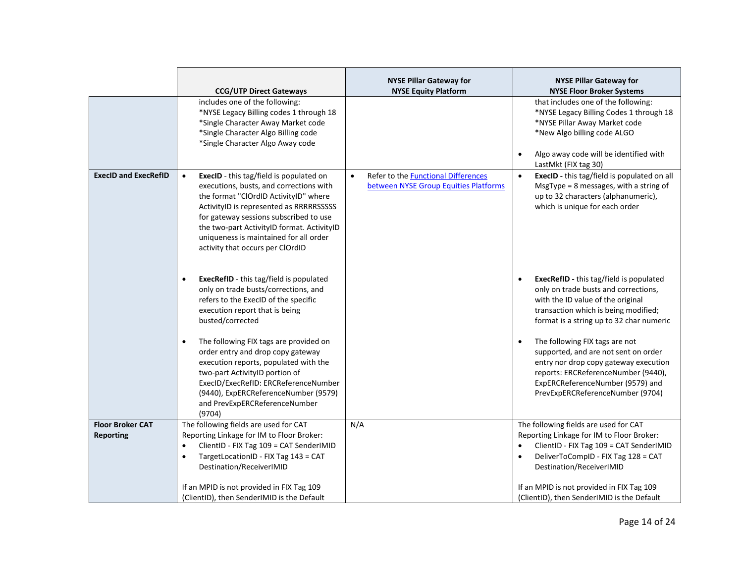|                                             | <b>CCG/UTP Direct Gateways</b>                                                                                                                                                                                                                                                                                                                                   | <b>NYSE Pillar Gateway for</b><br><b>NYSE Equity Platform</b>                                    | <b>NYSE Pillar Gateway for</b><br><b>NYSE Floor Broker Systems</b>                                                                                                                                                                          |
|---------------------------------------------|------------------------------------------------------------------------------------------------------------------------------------------------------------------------------------------------------------------------------------------------------------------------------------------------------------------------------------------------------------------|--------------------------------------------------------------------------------------------------|---------------------------------------------------------------------------------------------------------------------------------------------------------------------------------------------------------------------------------------------|
|                                             | includes one of the following:<br>*NYSE Legacy Billing codes 1 through 18<br>*Single Character Away Market code<br>*Single Character Algo Billing code<br>*Single Character Algo Away code                                                                                                                                                                       |                                                                                                  | that includes one of the following:<br>*NYSE Legacy Billing Codes 1 through 18<br>*NYSE Pillar Away Market code<br>*New Algo billing code ALGO<br>Algo away code will be identified with<br>$\bullet$<br>LastMkt (FIX tag 30)               |
| <b>ExecID and ExecRefID</b>                 | <b>ExecID</b> - this tag/field is populated on<br>$\bullet$<br>executions, busts, and corrections with<br>the format "ClOrdID ActivityID" where<br>ActivityID is represented as RRRRRSSSSS<br>for gateway sessions subscribed to use<br>the two-part ActivityID format. ActivityID<br>uniqueness is maintained for all order<br>activity that occurs per ClOrdID | Refer to the <b>Functional Differences</b><br>$\bullet$<br>between NYSE Group Equities Platforms | ExecID - this tag/field is populated on all<br>$\bullet$<br>MsgType = $8$ messages, with a string of<br>up to 32 characters (alphanumeric),<br>which is unique for each order                                                               |
|                                             | <b>ExecRefID</b> - this tag/field is populated<br>$\bullet$<br>only on trade busts/corrections, and<br>refers to the ExecID of the specific<br>execution report that is being<br>busted/corrected                                                                                                                                                                |                                                                                                  | <b>ExecRefID</b> - this tag/field is populated<br>$\bullet$<br>only on trade busts and corrections,<br>with the ID value of the original<br>transaction which is being modified;<br>format is a string up to 32 char numeric                |
|                                             | The following FIX tags are provided on<br>$\bullet$<br>order entry and drop copy gateway<br>execution reports, populated with the<br>two-part ActivityID portion of<br>ExecID/ExecRefID: ERCReferenceNumber<br>(9440), ExpERCReferenceNumber (9579)<br>and PrevExpERCReferenceNumber<br>(9704)                                                                   |                                                                                                  | The following FIX tags are not<br>$\bullet$<br>supported, and are not sent on order<br>entry nor drop copy gateway execution<br>reports: ERCReferenceNumber (9440),<br>ExpERCReferenceNumber (9579) and<br>PrevExpERCReferenceNumber (9704) |
| <b>Floor Broker CAT</b><br><b>Reporting</b> | The following fields are used for CAT<br>Reporting Linkage for IM to Floor Broker:<br>ClientID - FIX Tag 109 = CAT SenderIMID<br>$\bullet$<br>TargetLocationID - FIX Tag 143 = CAT<br>$\bullet$<br>Destination/ReceiverIMID                                                                                                                                      | N/A                                                                                              | The following fields are used for CAT<br>Reporting Linkage for IM to Floor Broker:<br>ClientID - FIX Tag 109 = CAT SenderIMID<br>$\bullet$<br>DeliverToCompID - FIX Tag 128 = CAT<br>$\bullet$<br>Destination/ReceiverIMID                  |
|                                             | If an MPID is not provided in FIX Tag 109<br>(ClientID), then SenderIMID is the Default                                                                                                                                                                                                                                                                          |                                                                                                  | If an MPID is not provided in FIX Tag 109<br>(ClientID), then SenderIMID is the Default                                                                                                                                                     |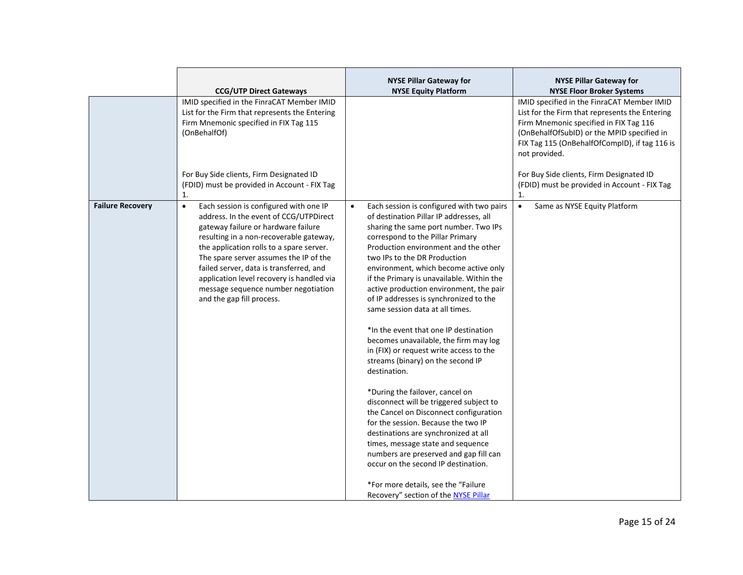|                         | <b>CCG/UTP Direct Gateways</b><br>IMID specified in the FinraCAT Member IMID<br>List for the Firm that represents the Entering<br>Firm Mnemonic specified in FIX Tag 115<br>(OnBehalfOf)<br>For Buy Side clients, Firm Designated ID                                                                                                                                                                                                                                                    | <b>NYSE Pillar Gateway for</b><br><b>NYSE Equity Platform</b>                                                                                                                                                                                                                                                                                                                                                                                                                                                                                                                                                                                                                                                                                                                                                                                                                                                                                                                                                                                                       | <b>NYSE Pillar Gateway for</b><br><b>NYSE Floor Broker Systems</b><br>IMID specified in the FinraCAT Member IMID<br>List for the Firm that represents the Entering<br>Firm Mnemonic specified in FIX Tag 116<br>(OnBehalfOfSubID) or the MPID specified in<br>FIX Tag 115 (OnBehalfOfCompID), if tag 116 is<br>not provided.<br>For Buy Side clients, Firm Designated ID |
|-------------------------|-----------------------------------------------------------------------------------------------------------------------------------------------------------------------------------------------------------------------------------------------------------------------------------------------------------------------------------------------------------------------------------------------------------------------------------------------------------------------------------------|---------------------------------------------------------------------------------------------------------------------------------------------------------------------------------------------------------------------------------------------------------------------------------------------------------------------------------------------------------------------------------------------------------------------------------------------------------------------------------------------------------------------------------------------------------------------------------------------------------------------------------------------------------------------------------------------------------------------------------------------------------------------------------------------------------------------------------------------------------------------------------------------------------------------------------------------------------------------------------------------------------------------------------------------------------------------|--------------------------------------------------------------------------------------------------------------------------------------------------------------------------------------------------------------------------------------------------------------------------------------------------------------------------------------------------------------------------|
| <b>Failure Recovery</b> | (FDID) must be provided in Account - FIX Tag<br>1.<br>Each session is configured with one IP<br>$\bullet$<br>address. In the event of CCG/UTPDirect<br>gateway failure or hardware failure<br>resulting in a non-recoverable gateway,<br>the application rolls to a spare server.<br>The spare server assumes the IP of the<br>failed server, data is transferred, and<br>application level recovery is handled via<br>message sequence number negotiation<br>and the gap fill process. | Each session is configured with two pairs<br>$\bullet$<br>of destination Pillar IP addresses, all<br>sharing the same port number. Two IPs<br>correspond to the Pillar Primary<br>Production environment and the other<br>two IPs to the DR Production<br>environment, which become active only<br>if the Primary is unavailable. Within the<br>active production environment, the pair<br>of IP addresses is synchronized to the<br>same session data at all times.<br>*In the event that one IP destination<br>becomes unavailable, the firm may log<br>in (FIX) or request write access to the<br>streams (binary) on the second IP<br>destination.<br>*During the failover, cancel on<br>disconnect will be triggered subject to<br>the Cancel on Disconnect configuration<br>for the session. Because the two IP<br>destinations are synchronized at all<br>times, message state and sequence<br>numbers are preserved and gap fill can<br>occur on the second IP destination.<br>*For more details, see the "Failure"<br>Recovery" section of the NYSE Pillar | (FDID) must be provided in Account - FIX Tag<br>1.<br>Same as NYSE Equity Platform<br>$\bullet$                                                                                                                                                                                                                                                                          |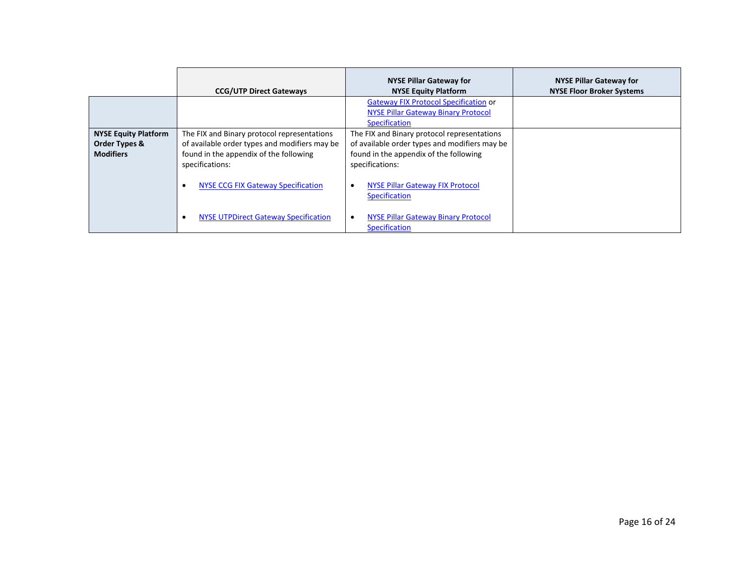|                                                                  | <b>CCG/UTP Direct Gateways</b>                                                                                                                            | <b>NYSE Pillar Gateway for</b><br><b>NYSE Equity Platform</b>                                                                                             | <b>NYSE Pillar Gateway for</b><br><b>NYSE Floor Broker Systems</b> |
|------------------------------------------------------------------|-----------------------------------------------------------------------------------------------------------------------------------------------------------|-----------------------------------------------------------------------------------------------------------------------------------------------------------|--------------------------------------------------------------------|
|                                                                  |                                                                                                                                                           | <b>Gateway FIX Protocol Specification or</b><br><b>NYSE Pillar Gateway Binary Protocol</b><br>Specification                                               |                                                                    |
| <b>NYSE Equity Platform</b><br>Order Types &<br><b>Modifiers</b> | The FIX and Binary protocol representations<br>of available order types and modifiers may be<br>found in the appendix of the following<br>specifications: | The FIX and Binary protocol representations<br>of available order types and modifiers may be<br>found in the appendix of the following<br>specifications: |                                                                    |
|                                                                  | <b>NYSE CCG FIX Gateway Specification</b>                                                                                                                 | <b>NYSE Pillar Gateway FIX Protocol</b><br>$\bullet$<br><b>Specification</b>                                                                              |                                                                    |
|                                                                  | <b>NYSE UTPDirect Gateway Specification</b>                                                                                                               | <b>NYSE Pillar Gateway Binary Protocol</b><br>$\bullet$<br>Specification                                                                                  |                                                                    |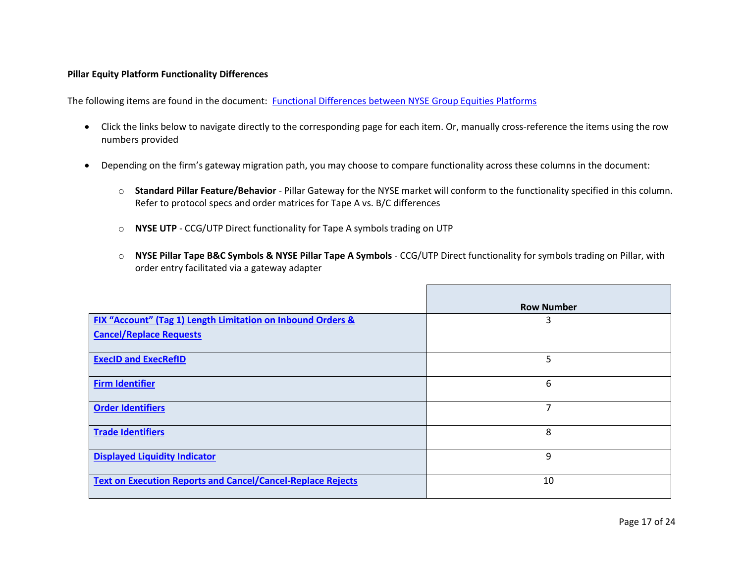### **Pillar Equity Platform Functionality Differences**

The following items are found in the document: [Functional Differences between NYSE Group Equities Platforms](https://www.nyse.com/publicdocs/nyse/markets/nyse/Functional_Differences_NYSE_Pillar.pdf)

- Click the links below to navigate directly to the corresponding page for each item. Or, manually cross-reference the items using the row numbers provided
- Depending on the firm's gateway migration path, you may choose to compare functionality across these columns in the document:
	- o **Standard Pillar Feature/Behavior** Pillar Gateway for the NYSE market will conform to the functionality specified in this column. Refer to protocol specs and order matrices for Tape A vs. B/C differences
	- o **NYSE UTP** CCG/UTP Direct functionality for Tape A symbols trading on UTP
	- o **NYSE Pillar Tape B&C Symbols & NYSE Pillar Tape A Symbols**  CCG/UTP Direct functionality for symbols trading on Pillar, with order entry facilitated via a gateway adapter

|                                                                    | <b>Row Number</b> |
|--------------------------------------------------------------------|-------------------|
| FIX "Account" (Tag 1) Length Limitation on Inbound Orders &        | 3                 |
| <b>Cancel/Replace Requests</b>                                     |                   |
| <b>ExecID and ExecRefID</b>                                        | 5                 |
| <b>Firm Identifier</b>                                             | 6                 |
| <b>Order Identifiers</b>                                           | 7                 |
| <b>Trade Identifiers</b>                                           | 8                 |
| <b>Displayed Liquidity Indicator</b>                               | 9                 |
| <b>Text on Execution Reports and Cancel/Cancel-Replace Rejects</b> | 10                |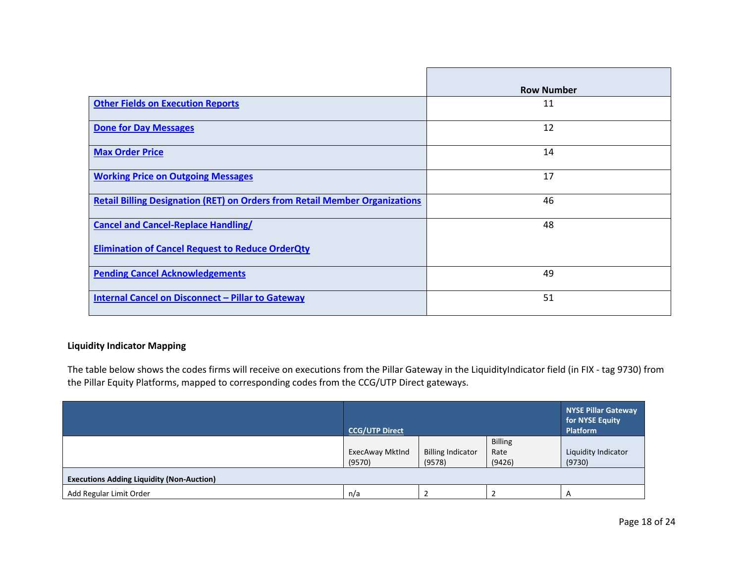|                                                                                    | <b>Row Number</b> |
|------------------------------------------------------------------------------------|-------------------|
| <b>Other Fields on Execution Reports</b>                                           | 11                |
| <b>Done for Day Messages</b>                                                       | 12                |
|                                                                                    |                   |
| <b>Max Order Price</b>                                                             | 14                |
| <b>Working Price on Outgoing Messages</b>                                          | 17                |
| <b>Retail Billing Designation (RET) on Orders from Retail Member Organizations</b> | 46                |
| <b>Cancel and Cancel-Replace Handling/</b>                                         | 48                |
| <b>Elimination of Cancel Request to Reduce OrderQty</b>                            |                   |
| <b>Pending Cancel Acknowledgements</b>                                             | 49                |
| Internal Cancel on Disconnect - Pillar to Gateway                                  | 51                |

## **Liquidity Indicator Mapping**

The table below shows the codes firms will receive on executions from the Pillar Gateway in the LiquidityIndicator field (in FIX - tag 9730) from the Pillar Equity Platforms, mapped to corresponding codes from the CCG/UTP Direct gateways.

|                                                  | <b>CCG/UTP Direct</b>  |                          |                | NYSE Pillar Gateway<br>for NYSE Equity<br><b>Platform</b> |
|--------------------------------------------------|------------------------|--------------------------|----------------|-----------------------------------------------------------|
|                                                  |                        |                          | <b>Billing</b> |                                                           |
|                                                  | <b>ExecAway Mktlnd</b> | <b>Billing Indicator</b> | Rate           | Liquidity Indicator                                       |
|                                                  | (9570)                 | (9578)                   | (9426)         | (9730)                                                    |
| <b>Executions Adding Liquidity (Non-Auction)</b> |                        |                          |                |                                                           |
| Add Regular Limit Order                          | n/a                    |                          |                |                                                           |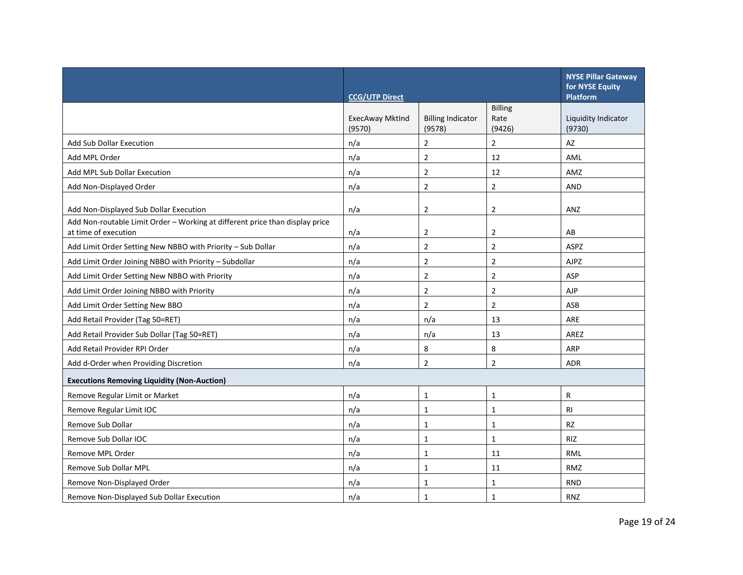|                                                                                                      | <b>CCG/UTP Direct</b>     |                                    |                                  | <b>NYSE Pillar Gateway</b><br>for NYSE Equity<br><b>Platform</b> |
|------------------------------------------------------------------------------------------------------|---------------------------|------------------------------------|----------------------------------|------------------------------------------------------------------|
|                                                                                                      | ExecAway MktInd<br>(9570) | <b>Billing Indicator</b><br>(9578) | <b>Billing</b><br>Rate<br>(9426) | Liquidity Indicator<br>(9730)                                    |
| <b>Add Sub Dollar Execution</b>                                                                      | n/a                       | $\overline{2}$                     | $\overline{2}$                   | AZ                                                               |
| Add MPL Order                                                                                        | n/a                       | $\overline{2}$                     | 12                               | AML                                                              |
| Add MPL Sub Dollar Execution                                                                         | n/a                       | $\overline{2}$                     | 12                               | AMZ                                                              |
| Add Non-Displayed Order                                                                              | n/a                       | $\overline{2}$                     | $\overline{2}$                   | <b>AND</b>                                                       |
| Add Non-Displayed Sub Dollar Execution                                                               | n/a                       | 2                                  | $\overline{2}$                   | ANZ                                                              |
| Add Non-routable Limit Order - Working at different price than display price<br>at time of execution | n/a                       | $\overline{2}$                     | $\overline{2}$                   | AB                                                               |
| Add Limit Order Setting New NBBO with Priority - Sub Dollar                                          | n/a                       | $\overline{2}$                     | $\overline{2}$                   | ASPZ                                                             |
| Add Limit Order Joining NBBO with Priority - Subdollar                                               | n/a                       | 2                                  | $\overline{2}$                   | <b>AJPZ</b>                                                      |
| Add Limit Order Setting New NBBO with Priority                                                       | n/a                       | $\overline{2}$                     | $\overline{2}$                   | ASP                                                              |
| Add Limit Order Joining NBBO with Priority                                                           | n/a                       | $\overline{2}$                     | $\overline{2}$                   | <b>AJP</b>                                                       |
| Add Limit Order Setting New BBO                                                                      | n/a                       | 2                                  | $\overline{2}$                   | ASB                                                              |
| Add Retail Provider (Tag 50=RET)                                                                     | n/a                       | n/a                                | 13                               | ARE                                                              |
| Add Retail Provider Sub Dollar (Tag 50=RET)                                                          | n/a                       | n/a                                | 13                               | AREZ                                                             |
| Add Retail Provider RPI Order                                                                        | n/a                       | 8                                  | 8                                | ARP                                                              |
| Add d-Order when Providing Discretion                                                                | n/a                       | $\overline{2}$                     | $\overline{2}$                   | <b>ADR</b>                                                       |
| <b>Executions Removing Liquidity (Non-Auction)</b>                                                   |                           |                                    |                                  |                                                                  |
| Remove Regular Limit or Market                                                                       | n/a                       | $\mathbf{1}$                       | $\mathbf{1}$                     | R                                                                |
| Remove Regular Limit IOC                                                                             | n/a                       | 1                                  | $\mathbf{1}$                     | <b>RI</b>                                                        |
| Remove Sub Dollar                                                                                    | n/a                       | 1                                  | $\mathbf{1}$                     | RZ                                                               |
| Remove Sub Dollar IOC                                                                                | n/a                       | $\mathbf{1}$                       | $\mathbf{1}$                     | <b>RIZ</b>                                                       |
| Remove MPL Order                                                                                     | n/a                       | 1                                  | 11                               | <b>RML</b>                                                       |
| Remove Sub Dollar MPL                                                                                | n/a                       | 1                                  | 11                               | RMZ                                                              |
| Remove Non-Displayed Order                                                                           | n/a                       | 1                                  | $\mathbf{1}$                     | <b>RND</b>                                                       |
| Remove Non-Displayed Sub Dollar Execution                                                            | n/a                       | $\mathbf{1}$                       | 1                                | <b>RNZ</b>                                                       |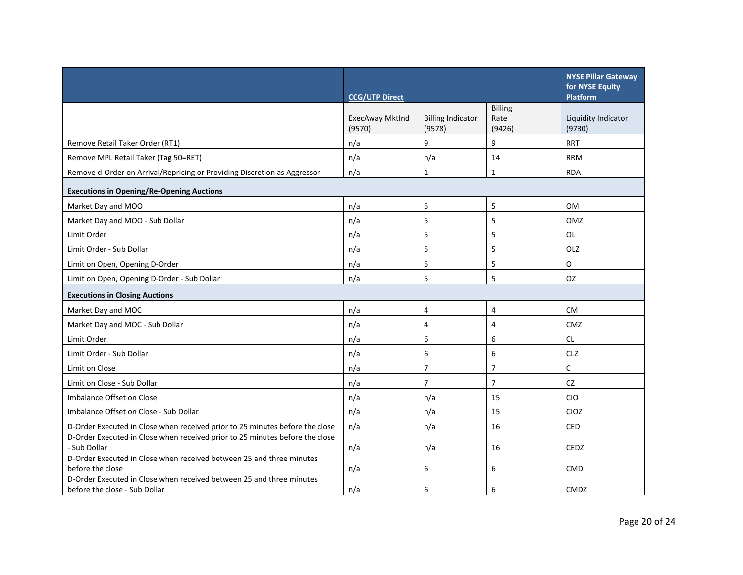|                                                                                                       | <b>CCG/UTP Direct</b>     |                                    |                                  | <b>NYSE Pillar Gateway</b><br>for NYSE Equity<br><b>Platform</b> |
|-------------------------------------------------------------------------------------------------------|---------------------------|------------------------------------|----------------------------------|------------------------------------------------------------------|
|                                                                                                       | ExecAway MktInd<br>(9570) | <b>Billing Indicator</b><br>(9578) | <b>Billing</b><br>Rate<br>(9426) | Liquidity Indicator<br>(9730)                                    |
| Remove Retail Taker Order (RT1)                                                                       | n/a                       | 9                                  | 9                                | <b>RRT</b>                                                       |
| Remove MPL Retail Taker (Tag 50=RET)                                                                  | n/a                       | n/a                                | 14                               | <b>RRM</b>                                                       |
| Remove d-Order on Arrival/Repricing or Providing Discretion as Aggressor                              | n/a                       | $\mathbf{1}$                       | $\mathbf{1}$                     | <b>RDA</b>                                                       |
| <b>Executions in Opening/Re-Opening Auctions</b>                                                      |                           |                                    |                                  |                                                                  |
| Market Day and MOO                                                                                    | n/a                       | 5                                  | 5                                | <b>OM</b>                                                        |
| Market Day and MOO - Sub Dollar                                                                       | n/a                       | 5                                  | 5                                | OMZ                                                              |
| Limit Order                                                                                           | n/a                       | 5                                  | 5                                | <b>OL</b>                                                        |
| Limit Order - Sub Dollar                                                                              | n/a                       | 5                                  | 5                                | OLZ                                                              |
| Limit on Open, Opening D-Order                                                                        | n/a                       | 5                                  | 5                                | $\mathsf{O}$                                                     |
| Limit on Open, Opening D-Order - Sub Dollar                                                           | n/a                       | 5                                  | 5                                | OZ                                                               |
| <b>Executions in Closing Auctions</b>                                                                 |                           |                                    |                                  |                                                                  |
| Market Day and MOC                                                                                    | n/a                       | $\overline{4}$                     | 4                                | <b>CM</b>                                                        |
| Market Day and MOC - Sub Dollar                                                                       | n/a                       | 4                                  | 4                                | CMZ                                                              |
| Limit Order                                                                                           | n/a                       | 6                                  | 6                                | <b>CL</b>                                                        |
| Limit Order - Sub Dollar                                                                              | n/a                       | 6                                  | 6                                | <b>CLZ</b>                                                       |
| Limit on Close                                                                                        | n/a                       | $\overline{7}$                     | 7                                | C                                                                |
| Limit on Close - Sub Dollar                                                                           | n/a                       | $\overline{7}$                     | $\overline{7}$                   | <b>CZ</b>                                                        |
| Imbalance Offset on Close                                                                             | n/a                       | n/a                                | 15                               | <b>CIO</b>                                                       |
| Imbalance Offset on Close - Sub Dollar                                                                | n/a                       | n/a                                | 15                               | CIOZ                                                             |
| D-Order Executed in Close when received prior to 25 minutes before the close                          | n/a                       | n/a                                | 16                               | <b>CED</b>                                                       |
| D-Order Executed in Close when received prior to 25 minutes before the close                          |                           |                                    |                                  |                                                                  |
| - Sub Dollar<br>D-Order Executed in Close when received between 25 and three minutes                  | n/a                       | n/a                                | 16                               | CEDZ                                                             |
| before the close                                                                                      | n/a                       | 6                                  | 6                                | <b>CMD</b>                                                       |
| D-Order Executed in Close when received between 25 and three minutes<br>before the close - Sub Dollar | n/a                       | 6                                  | 6                                | CMDZ                                                             |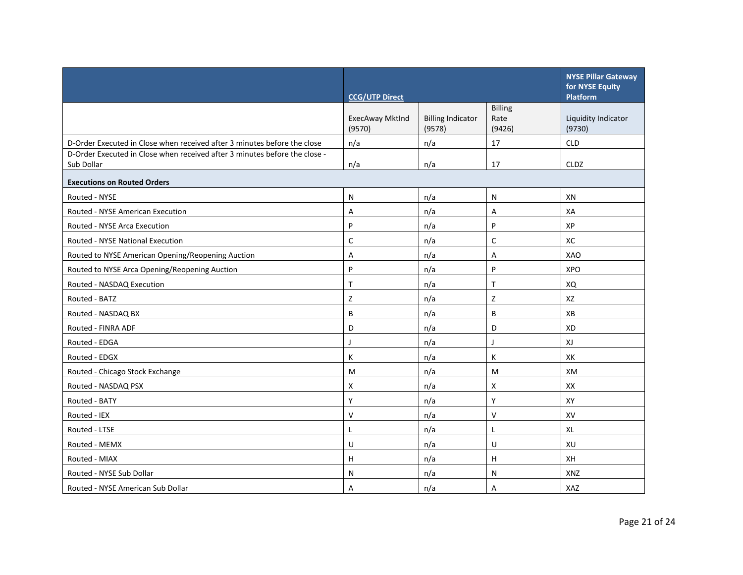|                                                                                          | <b>CCG/UTP Direct</b>     |                                    |                                  | <b>NYSE Pillar Gateway</b><br>for NYSE Equity<br>Platform |
|------------------------------------------------------------------------------------------|---------------------------|------------------------------------|----------------------------------|-----------------------------------------------------------|
|                                                                                          | ExecAway MktInd<br>(9570) | <b>Billing Indicator</b><br>(9578) | <b>Billing</b><br>Rate<br>(9426) | Liquidity Indicator<br>(9730)                             |
| D-Order Executed in Close when received after 3 minutes before the close                 | n/a                       | n/a                                | 17                               | <b>CLD</b>                                                |
| D-Order Executed in Close when received after 3 minutes before the close -<br>Sub Dollar | n/a                       | n/a                                | 17                               | <b>CLDZ</b>                                               |
| <b>Executions on Routed Orders</b>                                                       |                           |                                    |                                  |                                                           |
| Routed - NYSE                                                                            | N                         | n/a                                | N                                | XN                                                        |
| Routed - NYSE American Execution                                                         | A                         | n/a                                | A                                | XA                                                        |
| Routed - NYSE Arca Execution                                                             | P                         | n/a                                | P                                | XP                                                        |
| Routed - NYSE National Execution                                                         | C                         | n/a                                | $\mathsf{C}$                     | XC                                                        |
| Routed to NYSE American Opening/Reopening Auction                                        | A                         | n/a                                | A                                | <b>XAO</b>                                                |
| Routed to NYSE Arca Opening/Reopening Auction                                            | P                         | n/a                                | P                                | <b>XPO</b>                                                |
| Routed - NASDAQ Execution                                                                | $\mathsf{T}$              | n/a                                | $\mathsf{T}$                     | XQ                                                        |
| Routed - BATZ                                                                            | Z                         | n/a                                | Z                                | XZ                                                        |
| Routed - NASDAQ BX                                                                       | B                         | n/a                                | B                                | XB                                                        |
| Routed - FINRA ADF                                                                       | D                         | n/a                                | D                                | <b>XD</b>                                                 |
| Routed - EDGA                                                                            | J                         | n/a                                | ı                                | XJ                                                        |
| Routed - EDGX                                                                            | К                         | n/a                                | К                                | XK                                                        |
| Routed - Chicago Stock Exchange                                                          | M                         | n/a                                | M                                | XM                                                        |
| Routed - NASDAQ PSX                                                                      | X                         | n/a                                | X                                | XX                                                        |
| Routed - BATY                                                                            | Y                         | n/a                                | Y                                | XY                                                        |
| Routed - IEX                                                                             | $\vee$                    | n/a                                | $\vee$                           | XV                                                        |
| Routed - LTSE                                                                            | L                         | n/a                                | L                                | <b>XL</b>                                                 |
| Routed - MEMX                                                                            | U                         | n/a                                | U                                | XU                                                        |
| Routed - MIAX                                                                            | н                         | n/a                                | H                                | XH                                                        |
| Routed - NYSE Sub Dollar                                                                 | N                         | n/a                                | N                                | XNZ                                                       |
| Routed - NYSE American Sub Dollar                                                        | Α                         | n/a                                | A                                | XAZ                                                       |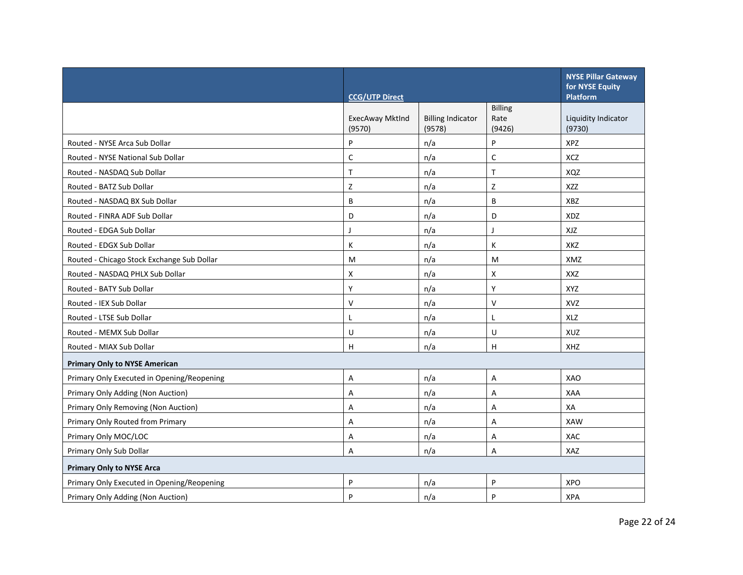|                                            | <b>CCG/UTP Direct</b>     |                                    |                                  | <b>NYSE Pillar Gateway</b><br>for NYSE Equity<br><b>Platform</b> |
|--------------------------------------------|---------------------------|------------------------------------|----------------------------------|------------------------------------------------------------------|
|                                            | ExecAway MktInd<br>(9570) | <b>Billing Indicator</b><br>(9578) | <b>Billing</b><br>Rate<br>(9426) | Liquidity Indicator<br>(9730)                                    |
| Routed - NYSE Arca Sub Dollar              | P                         | n/a                                | P                                | XPZ                                                              |
| Routed - NYSE National Sub Dollar          | C                         | n/a                                | C                                | XCZ                                                              |
| Routed - NASDAQ Sub Dollar                 | T                         | n/a                                | $\top$                           | XQZ                                                              |
| Routed - BATZ Sub Dollar                   | Z                         | n/a                                | Z                                | <b>XZZ</b>                                                       |
| Routed - NASDAQ BX Sub Dollar              | B                         | n/a                                | B                                | <b>XBZ</b>                                                       |
| Routed - FINRA ADF Sub Dollar              | D                         | n/a                                | D                                | XDZ                                                              |
| Routed - EDGA Sub Dollar                   | J                         | n/a                                | $\mathbf{I}$                     | XJZ                                                              |
| Routed - EDGX Sub Dollar                   | К                         | n/a                                | К                                | XKZ                                                              |
| Routed - Chicago Stock Exchange Sub Dollar | M                         | n/a                                | M                                | XMZ                                                              |
| Routed - NASDAQ PHLX Sub Dollar            | Χ                         | n/a                                | X                                | XXZ                                                              |
| Routed - BATY Sub Dollar                   | Υ                         | n/a                                | Y                                | <b>XYZ</b>                                                       |
| Routed - IEX Sub Dollar                    | $\vee$                    | n/a                                | V                                | XVZ                                                              |
| Routed - LTSE Sub Dollar                   | L                         | n/a                                | L                                | <b>XLZ</b>                                                       |
| Routed - MEMX Sub Dollar                   | U                         | n/a                                | U                                | XUZ                                                              |
| Routed - MIAX Sub Dollar                   | H                         | n/a                                | $\boldsymbol{\mathsf{H}}$        | XHZ                                                              |
| <b>Primary Only to NYSE American</b>       |                           |                                    |                                  |                                                                  |
| Primary Only Executed in Opening/Reopening | A                         | n/a                                | $\overline{A}$                   | XAO                                                              |
| Primary Only Adding (Non Auction)          | Α                         | n/a                                | A                                | XAA                                                              |
| Primary Only Removing (Non Auction)        | Α                         | n/a                                | А                                | XA                                                               |
| Primary Only Routed from Primary           | A                         | n/a                                | A                                | <b>XAW</b>                                                       |
| Primary Only MOC/LOC                       | Α                         | n/a                                | A                                | XAC                                                              |
| Primary Only Sub Dollar                    | Α                         | n/a                                | Α                                | XAZ                                                              |
| <b>Primary Only to NYSE Arca</b>           |                           |                                    |                                  |                                                                  |
| Primary Only Executed in Opening/Reopening | P                         | n/a                                | P                                | <b>XPO</b>                                                       |
| Primary Only Adding (Non Auction)          | P                         | n/a                                | P                                | <b>XPA</b>                                                       |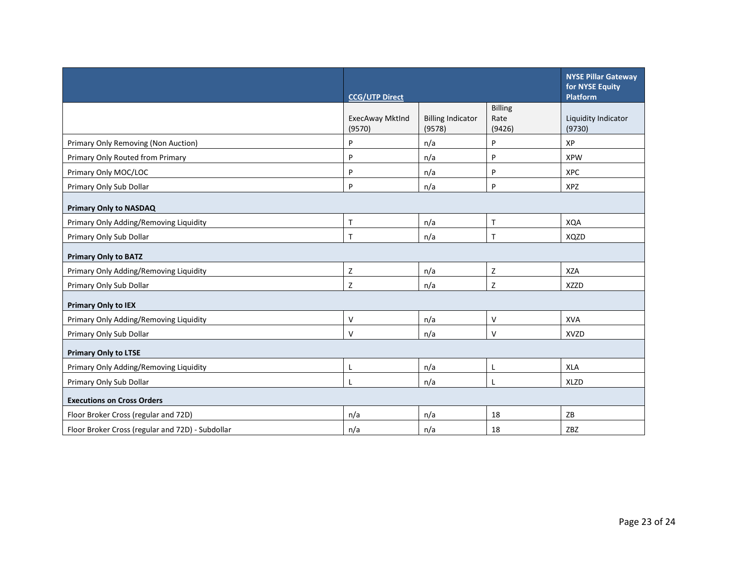|                                                  | <b>CCG/UTP Direct</b>            |                                    |                                  | <b>NYSE Pillar Gateway</b><br>for NYSE Equity<br><b>Platform</b> |
|--------------------------------------------------|----------------------------------|------------------------------------|----------------------------------|------------------------------------------------------------------|
|                                                  | <b>ExecAway Mktlnd</b><br>(9570) | <b>Billing Indicator</b><br>(9578) | <b>Billing</b><br>Rate<br>(9426) | Liquidity Indicator<br>(9730)                                    |
| Primary Only Removing (Non Auction)              | P                                | n/a                                | P                                | <b>XP</b>                                                        |
| Primary Only Routed from Primary                 | P                                | n/a                                | P                                | <b>XPW</b>                                                       |
| Primary Only MOC/LOC                             | P                                | n/a                                | P                                | <b>XPC</b>                                                       |
| Primary Only Sub Dollar                          | P                                | n/a                                | P                                | <b>XPZ</b>                                                       |
| <b>Primary Only to NASDAQ</b>                    |                                  |                                    |                                  |                                                                  |
| Primary Only Adding/Removing Liquidity           | $\mathsf{T}$                     | n/a                                | $\mathsf{T}$                     | <b>XQA</b>                                                       |
| Primary Only Sub Dollar                          | T                                | n/a                                | T                                | XQZD                                                             |
| <b>Primary Only to BATZ</b>                      |                                  |                                    |                                  |                                                                  |
| Primary Only Adding/Removing Liquidity           | Z                                | n/a                                | Z                                | <b>XZA</b>                                                       |
| Primary Only Sub Dollar                          | Z                                | n/a                                | $\mathsf Z$                      | <b>XZZD</b>                                                      |
| <b>Primary Only to IEX</b>                       |                                  |                                    |                                  |                                                                  |
| Primary Only Adding/Removing Liquidity           | $\vee$                           | n/a                                | $\vee$                           | <b>XVA</b>                                                       |
| Primary Only Sub Dollar                          | V                                | n/a                                | $\vee$                           | <b>XVZD</b>                                                      |
| <b>Primary Only to LTSE</b>                      |                                  |                                    |                                  |                                                                  |
| Primary Only Adding/Removing Liquidity           | L                                | n/a                                | L                                | <b>XLA</b>                                                       |
| Primary Only Sub Dollar                          |                                  | n/a                                | L                                | <b>XLZD</b>                                                      |
| <b>Executions on Cross Orders</b>                |                                  |                                    |                                  |                                                                  |
| Floor Broker Cross (regular and 72D)             | n/a                              | n/a                                | 18                               | ZB                                                               |
| Floor Broker Cross (regular and 72D) - Subdollar | n/a                              | n/a                                | 18                               | <b>ZBZ</b>                                                       |